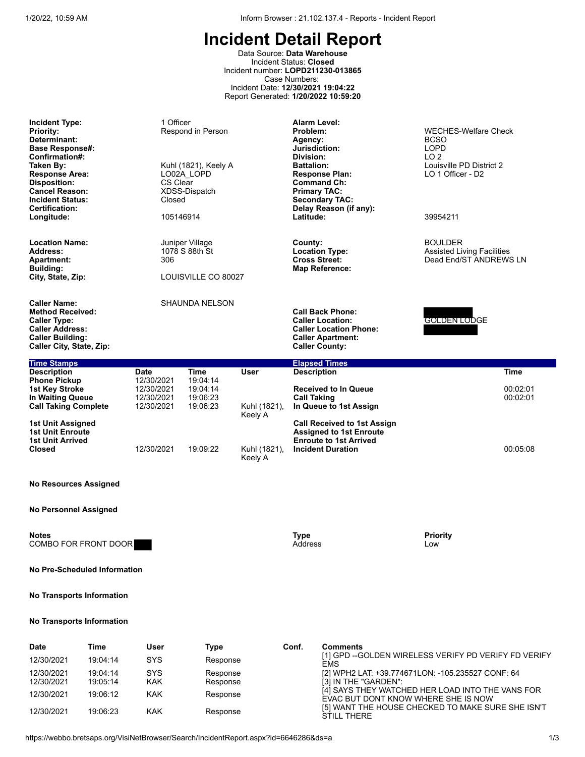Data Source: **Data Warehouse** Incident Status: **Closed** Incident number: **LOPD211230-013865** Case Numbers: Incident Date: **12/30/2021 19:04:22** Report Generated: **1/20/2022 10:59:20**

| <b>Incident Type:</b><br><b>Priority:</b><br>Determinant:<br><b>Base Response#:</b><br>Confirmation#:<br>Taken By:<br><b>Response Area:</b><br><b>Disposition:</b><br><b>Cancel Reason:</b><br><b>Incident Status:</b><br><b>Certification:</b><br>Longitude: | 1 Officer<br>Respond in Person<br>Kuhl (1821), Keely A<br>LO02A LOPD<br>CS Clear<br>XDSS-Dispatch<br>Closed<br>105146914 |                                                          |                         | <b>Alarm Level:</b><br>Problem:<br>Agency:<br>Jurisdiction:<br>Division:<br><b>Battalion:</b><br><b>Response Plan:</b><br><b>Command Ch:</b><br><b>Primary TAC:</b><br><b>Secondary TAC:</b><br>Delay Reason (if any):<br>Latitude: | <b>WECHES-Welfare Check</b><br><b>BCSO</b><br><b>LOPD</b><br>LO <sub>2</sub><br>Louisville PD District 2<br>LO 1 Officer - D2<br>39954211 |
|---------------------------------------------------------------------------------------------------------------------------------------------------------------------------------------------------------------------------------------------------------------|--------------------------------------------------------------------------------------------------------------------------|----------------------------------------------------------|-------------------------|-------------------------------------------------------------------------------------------------------------------------------------------------------------------------------------------------------------------------------------|-------------------------------------------------------------------------------------------------------------------------------------------|
| <b>Location Name:</b><br><b>Address:</b><br><b>Apartment:</b><br><b>Building:</b><br>City, State, Zip:                                                                                                                                                        | 306                                                                                                                      | Juniper Village<br>1078 S 88th St<br>LOUISVILLE CO 80027 |                         | County:<br><b>Location Type:</b><br><b>Cross Street:</b><br><b>Map Reference:</b>                                                                                                                                                   | <b>BOULDER</b><br><b>Assisted Living Facilities</b><br>Dead End/ST ANDREWS LN                                                             |
| <b>Caller Name:</b><br><b>Method Received:</b><br><b>Caller Type:</b><br><b>Caller Address:</b><br><b>Caller Building:</b><br>Caller City, State, Zip:                                                                                                        | SHAUNDA NELSON                                                                                                           |                                                          |                         | <b>Call Back Phone:</b><br><b>Caller Location:</b><br><b>Caller Location Phone:</b><br><b>Caller Apartment:</b><br><b>Caller County:</b>                                                                                            | GOLDEN LODGE                                                                                                                              |
| <b>Time Stamps</b>                                                                                                                                                                                                                                            |                                                                                                                          |                                                          |                         | <b>Elapsed Times</b>                                                                                                                                                                                                                |                                                                                                                                           |
| <b>Description</b><br><b>Phone Pickup</b><br><b>1st Key Stroke</b><br>In Waiting Queue                                                                                                                                                                        | <b>Date</b><br>12/30/2021<br>12/30/2021<br>12/30/2021                                                                    | <b>Time</b><br>19:04:14<br>19:04:14<br>19:06:23          | <b>User</b>             | <b>Description</b><br><b>Received to In Queue</b><br><b>Call Taking</b>                                                                                                                                                             | <b>Time</b><br>00:02:01<br>00:02:01                                                                                                       |
| <b>Call Taking Complete</b>                                                                                                                                                                                                                                   | 12/30/2021                                                                                                               | 19:06:23                                                 | Kuhl (1821),<br>Keely A | In Queue to 1st Assign                                                                                                                                                                                                              |                                                                                                                                           |
| 1st Unit Assigned<br><b>1st Unit Enroute</b><br><b>1st Unit Arrived</b>                                                                                                                                                                                       |                                                                                                                          |                                                          |                         | <b>Call Received to 1st Assign</b><br><b>Assigned to 1st Enroute</b><br><b>Enroute to 1st Arrived</b>                                                                                                                               |                                                                                                                                           |
| <b>Closed</b>                                                                                                                                                                                                                                                 | 12/30/2021                                                                                                               | 19:09:22                                                 | Kuhl (1821),<br>Keely A | <b>Incident Duration</b>                                                                                                                                                                                                            | 00:05:08                                                                                                                                  |
| <b>No Resources Assigned</b>                                                                                                                                                                                                                                  |                                                                                                                          |                                                          |                         |                                                                                                                                                                                                                                     |                                                                                                                                           |
| <b>No Personnel Assigned</b>                                                                                                                                                                                                                                  |                                                                                                                          |                                                          |                         |                                                                                                                                                                                                                                     |                                                                                                                                           |
| <b>Notes</b><br>COMBO FOR FRONT DOOR                                                                                                                                                                                                                          |                                                                                                                          |                                                          |                         | <b>Type</b><br><b>Address</b>                                                                                                                                                                                                       | <b>Priority</b><br>Low                                                                                                                    |
| No Pre-Scheduled Information                                                                                                                                                                                                                                  |                                                                                                                          |                                                          |                         |                                                                                                                                                                                                                                     |                                                                                                                                           |

## **No Transports Information**

| <b>Date</b> | Time     | User       | Type     | Conf. | <b>Comments</b>                                                                         |
|-------------|----------|------------|----------|-------|-----------------------------------------------------------------------------------------|
| 12/30/2021  | 19:04:14 | <b>SYS</b> | Response |       | [1] GPD --GOLDEN WIRELESS VERIFY PD VERIFY FD VERIFY<br><b>EMS</b>                      |
| 12/30/2021  | 19:04:14 | SYS        | Response |       | [2] WPH2 LAT: +39.774671LON: -105.235527 CONF: 64                                       |
| 12/30/2021  | 19:05:14 | <b>KAK</b> | Response |       | [3] IN THE "GARDEN":                                                                    |
| 12/30/2021  | 19:06:12 | KAK        | Response |       | [4] SAYS THEY WATCHED HER LOAD INTO THE VANS FOR<br>EVAC BUT DONT KNOW WHERE SHE IS NOW |
| 12/30/2021  | 19.06.23 | KAK        | Response |       | [5] WANT THE HOUSE CHECKED TO MAKE SURE SHE ISN'T<br>STILL THERE                        |

e<br>S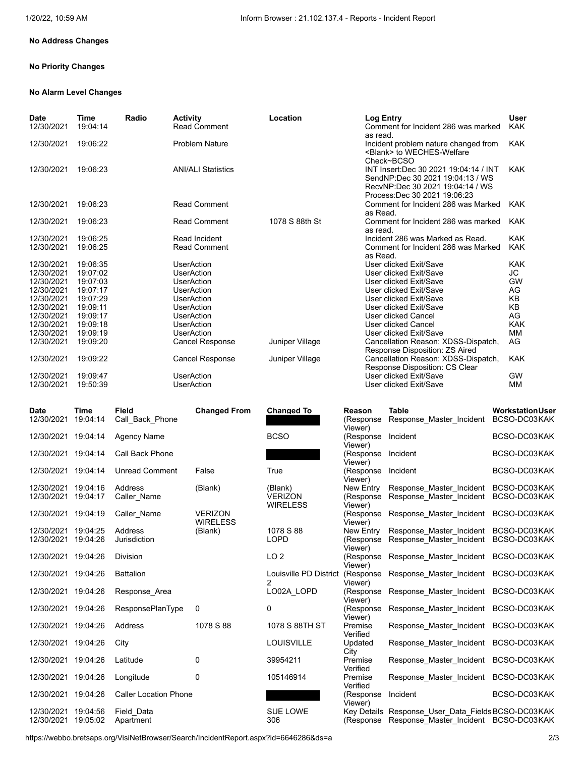## **No Address Changes**

### **No Priority Changes**

#### **No Alarm Level Changes**

| <b>Date</b> | Time     | Radio | <b>Activity</b>           | Location        | Log Entry                                                                                                                                      | User       |
|-------------|----------|-------|---------------------------|-----------------|------------------------------------------------------------------------------------------------------------------------------------------------|------------|
| 12/30/2021  | 19:04:14 |       | <b>Read Comment</b>       |                 | Comment for Incident 286 was marked<br>as read.                                                                                                | <b>KAK</b> |
| 12/30/2021  | 19:06:22 |       | <b>Problem Nature</b>     |                 | Incident problem nature changed from<br><blank> to WECHES-Welfare<br/>Check~BCSO</blank>                                                       | <b>KAK</b> |
| 12/30/2021  | 19:06:23 |       | <b>ANI/ALI Statistics</b> |                 | INT Insert:Dec 30 2021 19:04:14 / INT<br>SendNP:Dec 30 2021 19:04:13 / WS<br>RecvNP:Dec 30 2021 19:04:14 / WS<br>Process: Dec 30 2021 19:06:23 | <b>KAK</b> |
| 12/30/2021  | 19:06:23 |       | <b>Read Comment</b>       |                 | Comment for Incident 286 was Marked<br>as Read.                                                                                                | <b>KAK</b> |
| 12/30/2021  | 19:06:23 |       | <b>Read Comment</b>       | 1078 S 88th St  | Comment for Incident 286 was marked<br>as read.                                                                                                | <b>KAK</b> |
| 12/30/2021  | 19:06:25 |       | Read Incident             |                 | Incident 286 was Marked as Read.                                                                                                               | <b>KAK</b> |
| 12/30/2021  | 19:06:25 |       | <b>Read Comment</b>       |                 | Comment for Incident 286 was Marked<br>as Read.                                                                                                | <b>KAK</b> |
| 12/30/2021  | 19:06:35 |       | <b>UserAction</b>         |                 | User clicked Exit/Save                                                                                                                         | <b>KAK</b> |
| 12/30/2021  | 19:07:02 |       | <b>UserAction</b>         |                 | User clicked Exit/Save                                                                                                                         | JC         |
| 12/30/2021  | 19:07:03 |       | <b>UserAction</b>         |                 | User clicked Exit/Save                                                                                                                         | <b>GW</b>  |
| 12/30/2021  | 19:07:17 |       | <b>UserAction</b>         |                 | User clicked Exit/Save                                                                                                                         | AG         |
| 12/30/2021  | 19:07:29 |       | <b>UserAction</b>         |                 | User clicked Exit/Save                                                                                                                         | KB         |
| 12/30/2021  | 19:09:11 |       | <b>UserAction</b>         |                 | User clicked Exit/Save                                                                                                                         | KB         |
| 12/30/2021  | 19:09:17 |       | <b>UserAction</b>         |                 | <b>User clicked Cancel</b>                                                                                                                     | AG         |
| 12/30/2021  | 19:09:18 |       | <b>UserAction</b>         |                 | User clicked Cancel                                                                                                                            | <b>KAK</b> |
| 12/30/2021  | 19:09:19 |       | <b>UserAction</b>         |                 | User clicked Exit/Save                                                                                                                         | MM         |
| 12/30/2021  | 19:09:20 |       | <b>Cancel Response</b>    | Juniper Village | Cancellation Reason: XDSS-Dispatch,<br>Response Disposition: ZS Aired                                                                          | AG         |
| 12/30/2021  | 19:09:22 |       | <b>Cancel Response</b>    | Juniper Village | Cancellation Reason: XDSS-Dispatch,<br>Response Disposition: CS Clear                                                                          | <b>KAK</b> |
| 12/30/2021  | 19:09:47 |       | <b>UserAction</b>         |                 | User clicked Exit/Save                                                                                                                         | <b>GW</b>  |
| 12/30/2021  | 19:50:39 |       | <b>UserAction</b>         |                 | User clicked Exit/Save                                                                                                                         | MM         |

| <b>Date</b>                       | Time                 | <b>Field</b>                 | <b>Changed From</b>               | <b>Changed To</b>           | Reason                          | <b>Table</b>                                                                                | <b>Workstation User</b>      |
|-----------------------------------|----------------------|------------------------------|-----------------------------------|-----------------------------|---------------------------------|---------------------------------------------------------------------------------------------|------------------------------|
| 12/30/2021                        | 19:04:14             | Call Back Phone              |                                   |                             | (Response<br>Viewer)            | Response Master Incident                                                                    | BCSO-DC03KAK                 |
| 12/30/2021                        | 19:04:14             | <b>Agency Name</b>           |                                   | <b>BCSO</b>                 | (Response<br>Viewer)            | Incident                                                                                    | BCSO-DC03KAK                 |
| 12/30/2021                        | 19:04:14             | <b>Call Back Phone</b>       |                                   |                             | (Response<br>Viewer)            | Incident                                                                                    | BCSO-DC03KAK                 |
| 12/30/2021                        | 19:04:14             | <b>Unread Comment</b>        | False                             | True                        | (Response<br>Viewer)            | Incident                                                                                    | BCSO-DC03KAK                 |
| 12/30/2021<br>12/30/2021          | 19:04:16<br>19:04:17 | Address<br>Caller Name       | (Blank)                           | (Blank)<br><b>VERIZON</b>   | New Entry<br>(Response          | Response Master Incident<br>Response Master Incident                                        | BCSO-DC03KAK<br>BCSO-DC03KAK |
| 12/30/2021                        | 19:04:19             | Caller Name                  | <b>VERIZON</b><br><b>WIRELESS</b> | <b>WIRELESS</b>             | Viewer)<br>(Response<br>Viewer) | Response Master Incident                                                                    | BCSO-DC03KAK                 |
| 12/30/2021<br>12/30/2021          | 19:04:25<br>19:04:26 | Address<br>Jurisdiction      | (Blank)                           | 1078 S 88<br><b>LOPD</b>    | New Entry<br>(Response          | Response Master Incident<br>Response Master Incident                                        | BCSO-DC03KAK<br>BCSO-DC03KAK |
| 12/30/2021                        | 19:04:26             | <b>Division</b>              |                                   | LO <sub>2</sub>             | Viewer)<br>(Response<br>Viewer) | Response Master Incident                                                                    | BCSO-DC03KAK                 |
| 12/30/2021                        | 19:04:26             | <b>Battalion</b>             |                                   | Louisville PD District<br>2 | (Response<br>Viewer)            | Response Master Incident BCSO-DC03KAK                                                       |                              |
| 12/30/2021 19:04:26               |                      | Response Area                |                                   | LO02A LOPD                  | (Response<br>Viewer)            | Response Master Incident BCSO-DC03KAK                                                       |                              |
| 12/30/2021 19:04:26               |                      | <b>ResponsePlanType</b>      | 0                                 | 0                           | (Response<br>Viewer)            | Response_Master_Incident BCSO-DC03KAK                                                       |                              |
| 12/30/2021 19:04:26               |                      | Address                      | 1078 S 88                         | 1078 S 88TH ST              | Premise<br>Verified             | Response_Master_Incident BCSO-DC03KAK                                                       |                              |
| 12/30/2021 19:04:26               |                      | City                         |                                   | <b>LOUISVILLE</b>           | Updated<br>City                 | Response_Master_Incident BCSO-DC03KAK                                                       |                              |
| 12/30/2021 19:04:26               |                      | Latitude                     | $\Omega$                          | 39954211                    | Premise<br>Verified             | Response_Master_Incident BCSO-DC03KAK                                                       |                              |
| 12/30/2021 19:04:26               |                      | Longitude                    | 0                                 | 105146914                   | Premise<br>Verified             | Response_Master_Incident BCSO-DC03KAK                                                       |                              |
| 12/30/2021 19:04:26               |                      | <b>Caller Location Phone</b> |                                   |                             | (Response<br>Viewer)            | Incident                                                                                    | BCSO-DC03KAK                 |
| 12/30/2021<br>12/30/2021 19:05:02 | 19:04:56             | Field Data<br>Apartment      |                                   | <b>SUE LOWE</b><br>306      | (Response)                      | Key Details Response User Data Fields BCSO-DC03KAK<br>Response Master Incident BCSO-DC03KAK |                              |
|                                   |                      |                              |                                   |                             |                                 |                                                                                             |                              |

| Changed To             | Reason               | rapie                                 | workstation user |
|------------------------|----------------------|---------------------------------------|------------------|
|                        | (Response<br>Viewer) | Response Master Incident              | BCSO-DC03KAK     |
| <b>BCSO</b>            | (Response<br>Viewer) | Incident                              | BCSO-DC03KAK     |
|                        | (Response<br>Viewer) | Incident                              | BCSO-DC03KAK     |
| True                   | (Response<br>Viewer) | Incident                              | BCSO-DC03KAK     |
| (Blank)                | New Entry            | Response Master Incident              | BCSO-DC03KAK     |
| <b>VERIZON</b>         | (Response            | Response Master Incident              | BCSO-DC03KAK     |
| <b>WIRELESS</b>        | Viewer)              |                                       |                  |
|                        | (Response<br>Viewer) | Response Master Incident              | BCSO-DC03KAK     |
| 1078 S 88              | New Entry            | Response Master Incident              | BCSO-DC03KAK     |
| <b>LOPD</b>            | (Response            | Response_Master_Incident              | BCSO-DC03KAK     |
|                        | Viewer)              |                                       |                  |
| LO <sub>2</sub>        | (Response            | Response Master Incident              | BCSO-DC03KAK     |
|                        | Viewer)              |                                       |                  |
| Louisville PD District | (Response            | Response Master Incident              | BCSO-DC03KAK     |
| 2                      | Viewer)              |                                       |                  |
| LO02A LOPD             | (Response<br>Viewer) | Response Master Incident              | BCSO-DC03KAK     |
| 0                      | (Response<br>Viewer) | Response Master Incident              | BCSO-DC03KAK     |
| 1078 S 88TH ST         | Premise<br>Verified  | Response Master Incident              | BCSO-DC03KAK     |
| <b>LOUISVILLE</b>      | Updated<br>City      | Response Master Incident              | BCSO-DC03KAK     |
| 39954211               | Premise              | Response Master Incident              | BCSO-DC03KAK     |
|                        | Verified             |                                       |                  |
| 105146914              | Premise<br>Verified  | Response Master Incident              | BCSO-DC03KAK     |
|                        | (Response<br>Viewer) | Incident                              | BCSO-DC03KAK     |
| <b>SUE LOWE</b>        | Key Details          | Response_User_Data_FieldsBCSO-DC03KAK |                  |
| 306                    | (Response            | Response Master Incident BCSO-DC03KAK |                  |
|                        |                      |                                       |                  |

https://webbo.bretsaps.org/VisiNetBrowser/Search/IncidentReport.aspx?id=6646286&ds=a 2/3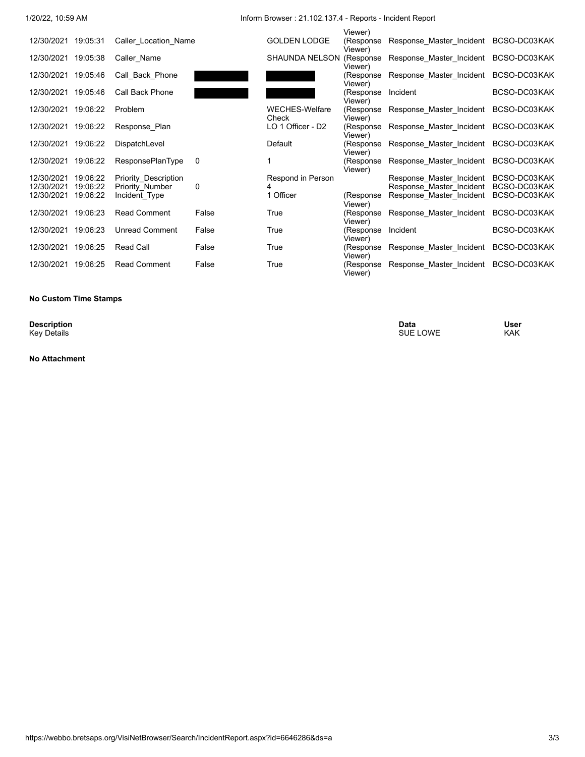1/20/22, 10:59 AM Inform Browser : 21.102.137.4 - Reports - Incident Report

|                     |          |                             |       |                                | Viewer)               |                          |              |
|---------------------|----------|-----------------------------|-------|--------------------------------|-----------------------|--------------------------|--------------|
| 12/30/2021 19:05:31 |          | Caller Location Name        |       | <b>GOLDEN LODGE</b>            | (Response<br>Viewer)  | Response Master Incident | BCSO-DC03KAK |
| 12/30/2021          | 19:05:38 | Caller Name                 |       | <b>SHAUNDA NELSON</b>          | (Response<br>Viewer)  | Response Master Incident | BCSO-DC03KAK |
| 12/30/2021          | 19:05:46 | Call Back Phone             |       |                                | (Response<br>Viewer)  | Response Master Incident | BCSO-DC03KAK |
| 12/30/2021          | 19:05:46 | Call Back Phone             |       |                                | (Response<br>Viewer)  | Incident                 | BCSO-DC03KAK |
| 12/30/2021          | 19:06:22 | Problem                     |       | <b>WECHES-Welfare</b><br>Check | (Response<br>Viewer)  | Response Master Incident | BCSO-DC03KAK |
| 12/30/2021          | 19:06:22 | Response Plan               |       | LO 1 Officer - D2              | (Response<br>Viewer)  | Response Master Incident | BCSO-DC03KAK |
| 12/30/2021          | 19:06:22 | DispatchLevel               |       | Default                        | (Response<br>Viewer)  | Response Master Incident | BCSO-DC03KAK |
| 12/30/2021          | 19:06:22 | <b>ResponsePlanType</b>     | 0     |                                | (Response<br>Viewer)  | Response_Master_Incident | BCSO-DC03KAK |
| 12/30/2021          | 19:06:22 | <b>Priority Description</b> |       | Respond in Person              |                       | Response Master Incident | BCSO-DC03KAK |
| 12/30/2021          | 19:06:22 | Priority Number             | 0     |                                |                       | Response Master Incident | BCSO-DC03KAK |
| 12/30/2021          | 19:06:22 | Incident Type               |       | 1 Officer                      | (Response<br>Viewer)  | Response Master Incident | BCSO-DC03KAK |
| 12/30/2021          | 19:06:23 | <b>Read Comment</b>         | False | True                           | (Response<br>Viewer)  | Response Master Incident | BCSO-DC03KAK |
| 12/30/2021          | 19:06:23 | <b>Unread Comment</b>       | False | True                           | (Response<br>Viewer)  | Incident                 | BCSO-DC03KAK |
| 12/30/2021          | 19:06:25 | Read Call                   | False | True                           | (Response)<br>Viewer) | Response_Master_Incident | BCSO-DC03KAK |
| 12/30/2021          | 19:06:25 | <b>Read Comment</b>         | False | True                           | (Response<br>Viewer)  | Response Master Incident | BCSO-DC03KAK |
|                     |          |                             |       |                                |                       |                          |              |

#### **No Custom Time Stamps**

**Description**<br>Key Details

**No Attachment**

**Description Data User** Key Details SUE LOWE KAK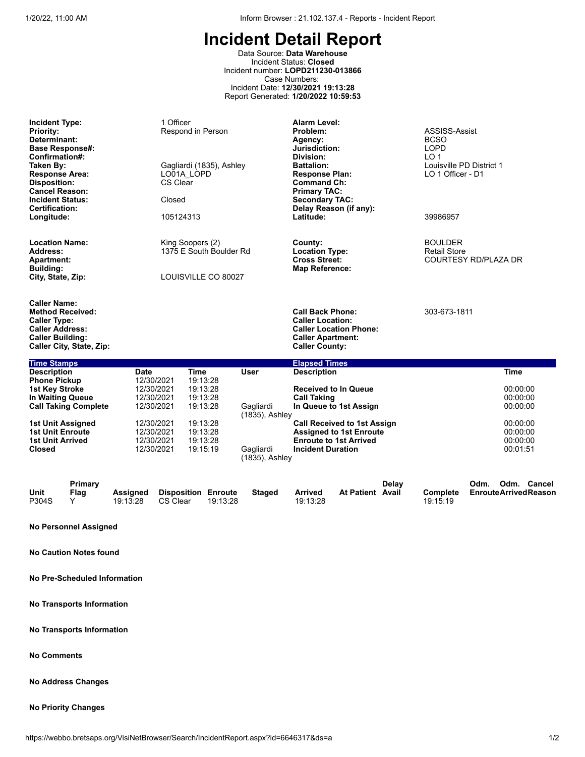Data Source: **Data Warehouse** Incident Status: **Closed** Incident number: **LOPD211230-013866** Case Numbers: Incident Date: **12/30/2021 19:13:28** Report Generated: **1/20/2022 10:59:53**

**Incident Type:** 1 Officer 1 Officer **Alarm Level:**<br> **Priority: Alarm Level:** Respond in Person **Alarm Level: Problem: Priority:** The Respond in Person **Problem:** Problem: ASSISS-Assist<br> **Determinant:** BCSO **Determinant: Agency:** BCSO **Base Response#: Jurisdiction:** LOPD **Confirmation#: Division:** LO 1 **Taken By:** Gagliardi (1835), Ashley **Battalion:** Louisville PD District 1 **Response Area:** LO01A\_LOPD **Response Plan:** LO 1 Officer - D1 **Command Ch:**<br>Primary TAC: **Cancel Reason:**<br> **Primary Tack Contrary Tack Contrary Tack**<br> **Primary Tack Contrary Tack Contrary Tack Contrary Tack Contrary Tack Contrary Tack Contrary Tack Contrary Tack Contrary Tack Contrary Tack Contrary Tack Contra Incident Status: The Closed Secondary TAC:**<br>
Closed Secondary TAC: Secondary TAC: Secondary TAC: Secondary TAC: Secondary TAC: Secondary TAC: Secondary TAC: **Certification: Delay Reason (if any): Longitude:** 105124313 **Latitude:** 39986957 **Location Name: Location Name:** The County County: Example 20 Location Name: EXALDER<br>
Address: The County: The South Boulder Rd Location Type: The Retail Store Retail Store **Address:** 1375 E South Boulder Rd **Cross Street:** 1375 E South Boulder Rd **Cross Street: Apartment: Cross Street:** COURTESY RD/PLAZA DR **Building: Map Reference: City, State, Zip:** LOUISVILLE CO 80027 **Caller Name: Method Received: Call Back Phone:** 303-673-1811 **Caller Type: Caller Location: Caller Address: Caller Location Phone: Caller Apartment:**<br>Caller County: **Caller City, State, Zip: Caller County: Time Stamps Elapsed Times Description Date Time User Description Time Phone Pickup 12/30/2021 19:13:28<br><b>1st Key Stroke** 12/30/2021 19:13:28 **12/30/2021 19:13:28 Received to In Queue** 12/30/2021 19:13:28 00:00:00<br>12/30/2021 19:13:28 **Call Taking** 00:00:00 **In Waiting Queue** 12/30/2021 19:13:28 **Call Taking** 00:00:00 **Call Taking Complete** (1835), Ashley **In Queue to 1st Assign 1st Unit Assigned** 12/30/2021 19:13:28 **Call Received to 1st Assign** 00:00:00 **1st Unit Enroute** 12/30/2021 19:13:28 **Assigned to 1st Enroute** 00:00:00 **1st Unit Arrived** 12/30/2021 19:13:28 **Enroute to 1st Arrived** 00:00:00 12/30/2021 (1835), Ashley **Incident Duration** 

|               | Primary |          |                            |          |        |          |                  | Delay |                 | Odm. | Odm. | Cancel                      |
|---------------|---------|----------|----------------------------|----------|--------|----------|------------------|-------|-----------------|------|------|-----------------------------|
| Unit<br>P304S | Flag    | Assianed | <b>Disposition Enroute</b> |          | Staged | Arrived  | At Patient Avail |       | <b>Complete</b> |      |      | <b>EnrouteArrivedReason</b> |
|               |         | 19:13:28 | CS Clear                   | 19:13:28 |        | 19:13:28 |                  |       | 19:15:19        |      |      |                             |

**No Personnel Assigned**

**No Caution Notes found**

**No Pre-Scheduled Information**

**No Transports Information**

**No Transports Information**

**No Comments**

**No Address Changes**

#### **No Priority Changes**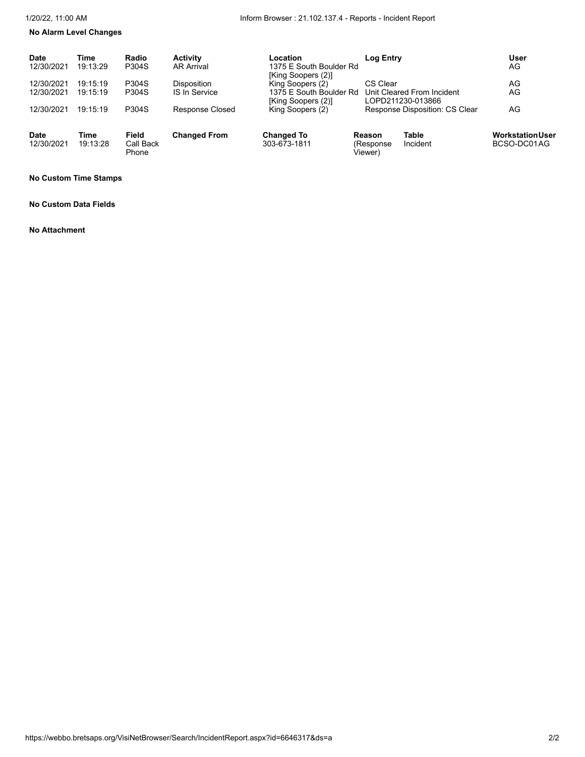# **No Alarm Level Changes**

| <b>Date</b><br>12/30/2021 | Time<br>19:13:29 | Radio<br>P304S              | <b>Activity</b><br><b>AR Arrival</b> | Location<br>1375 E South Boulder Rd<br>[King Soopers (2)] | <b>Log Entry</b>               |                                                 | <b>User</b><br>AG                      |
|---------------------------|------------------|-----------------------------|--------------------------------------|-----------------------------------------------------------|--------------------------------|-------------------------------------------------|----------------------------------------|
| 12/30/2021                | 19:15:19         | P304S                       | <b>Disposition</b>                   | King Soopers (2)                                          | CS Clear                       |                                                 | AG                                     |
| 12/30/2021                | 19:15:19         | P304S                       | <b>IS In Service</b>                 | 1375 E South Boulder Rd<br>[King Soopers (2)]             |                                | Unit Cleared From Incident<br>LOPD211230-013866 | AG                                     |
| 12/30/2021                | 19:15:19         | P304S                       | <b>Response Closed</b>               | King Soopers (2)                                          |                                | Response Disposition: CS Clear                  | AG                                     |
| <b>Date</b><br>12/30/2021 | Time<br>19:13:28 | Field<br>Call Back<br>Phone | <b>Changed From</b>                  | <b>Changed To</b><br>303-673-1811                         | Reason<br>(Response<br>Viewer) | Table<br>Incident                               | <b>Workstation User</b><br>BCSO-DC01AG |

#### **No Custom Time Stamps**

#### **No Custom Data Fields**

#### **No Attachment**

https://webbo.bretsaps.org/VisiNetBrowser/Search/IncidentReport.aspx?id=6646317&ds=a 2/2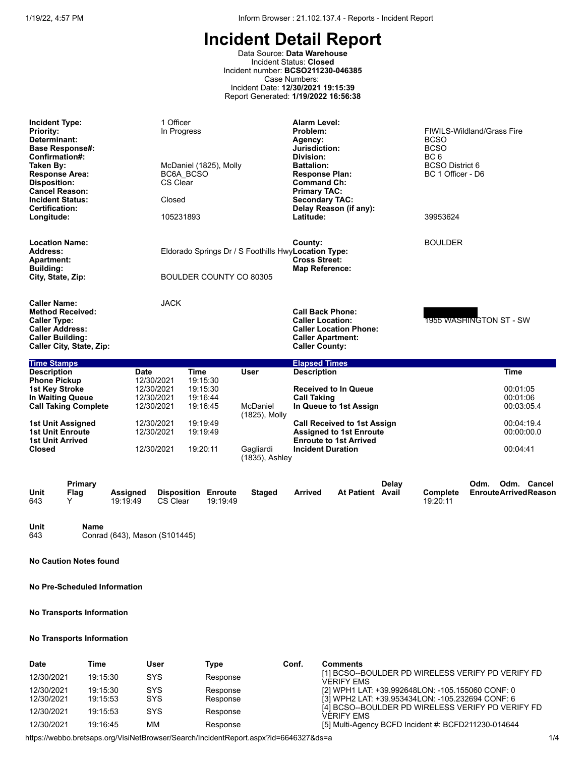Data Source: **Data Warehouse** Incident Status: **Closed** Incident number: **BCSO211230-046385** Case Numbers: Incident Date: **12/30/2021 19:15:39** Report Generated: **1/19/2022 16:56:38**

| <b>Incident Type:</b><br><b>Priority:</b><br>Determinant:<br><b>Base Response#:</b><br>Confirmation#:<br>Taken By:<br><b>Response Area:</b><br><b>Disposition:</b><br><b>Cancel Reason:</b><br><b>Incident Status:</b><br><b>Certification:</b><br>Longitude: | 1 Officer<br>In Progress<br>McDaniel (1825), Molly<br>BC6A BCSO<br>CS Clear<br>Closed<br>105231893                                                                                                | <b>Alarm Level:</b><br>Problem:<br>Agency:<br>Jurisdiction:<br>Division:<br><b>Battalion:</b><br><b>Response Plan:</b><br><b>Command Ch:</b><br><b>Primary TAC:</b><br><b>Secondary TAC:</b><br>Latitude: | Delay Reason (if any):                                                                                                                                                                     | FIWILS-Wildland/Grass Fire<br><b>BCSO</b><br><b>BCSO</b><br>BC <sub>6</sub><br><b>BCSO District 6</b><br>BC 1 Officer - D6<br>39953624 |                                                                                           |
|---------------------------------------------------------------------------------------------------------------------------------------------------------------------------------------------------------------------------------------------------------------|---------------------------------------------------------------------------------------------------------------------------------------------------------------------------------------------------|-----------------------------------------------------------------------------------------------------------------------------------------------------------------------------------------------------------|--------------------------------------------------------------------------------------------------------------------------------------------------------------------------------------------|----------------------------------------------------------------------------------------------------------------------------------------|-------------------------------------------------------------------------------------------|
| <b>Location Name:</b><br>Address:<br><b>Apartment:</b><br>Building:<br>City, State, Zip:                                                                                                                                                                      | Eldorado Springs Dr / S Foothills HwyLocation Type:<br>BOULDER COUNTY CO 80305                                                                                                                    | County:<br><b>Cross Street:</b><br><b>Map Reference:</b>                                                                                                                                                  |                                                                                                                                                                                            | <b>BOULDER</b>                                                                                                                         |                                                                                           |
| <b>Caller Name:</b><br><b>Method Received:</b><br><b>Caller Type:</b><br><b>Caller Address:</b><br><b>Caller Building:</b><br>Caller City, State, Zip:                                                                                                        | <b>JACK</b>                                                                                                                                                                                       | <b>Caller Location:</b><br><b>Caller County:</b>                                                                                                                                                          | <b>Call Back Phone:</b><br><b>Caller Location Phone:</b><br><b>Caller Apartment:</b>                                                                                                       | 1955 WASHINGTON ST - SW                                                                                                                |                                                                                           |
| <b>Time Stamps</b>                                                                                                                                                                                                                                            |                                                                                                                                                                                                   | <b>Elapsed Times</b>                                                                                                                                                                                      |                                                                                                                                                                                            |                                                                                                                                        |                                                                                           |
| <b>Description</b><br><b>Date</b><br><b>Phone Pickup</b><br>1st Key Stroke<br><b>In Waiting Queue</b><br><b>Call Taking Complete</b><br><b>1st Unit Assigned</b><br><b>1st Unit Enroute</b><br><b>1st Unit Arrived</b><br><b>Closed</b>                       | <b>Time</b><br>12/30/2021<br>19:15:30<br>12/30/2021<br>19:15:30<br>12/30/2021<br>19:16:44<br>12/30/2021<br>19:16:45<br>12/30/2021<br>19:19:49<br>12/30/2021<br>19:19:49<br>19:20:11<br>12/30/2021 | <b>User</b><br><b>Description</b><br><b>Call Taking</b><br>McDaniel<br>(1825), Molly<br>Gagliardi<br>(1835), Ashley                                                                                       | <b>Received to In Queue</b><br>In Queue to 1st Assign<br><b>Call Received to 1st Assign</b><br><b>Assigned to 1st Enroute</b><br><b>Enroute to 1st Arrived</b><br><b>Incident Duration</b> |                                                                                                                                        | <b>Time</b><br>00:01:05<br>00:01:06<br>00:03:05.4<br>00:04:19.4<br>00:00:00.0<br>00:04:41 |
| Primary<br>Unit<br>Flag<br><b>Assigned</b><br>643<br>Y<br>19:19:49                                                                                                                                                                                            | <b>Disposition Enroute</b><br>CS Clear<br>19:19:49                                                                                                                                                | <b>Staged</b><br><b>Arrived</b>                                                                                                                                                                           | Delay<br><b>At Patient Avail</b>                                                                                                                                                           | Odm.<br>Complete<br>19:20:11                                                                                                           | Odm. Cancel<br><b>EnrouteArrivedReason</b>                                                |

**Unit Name** Conrad (643), Mason (S101445)

**No Caution Notes found**

**No Pre-Scheduled Information**

### **No Transports Information**

### **No Transports Information**

| Date       | Time     | User       | Type     | Conf. | <b>Comments</b>                                                 |
|------------|----------|------------|----------|-------|-----------------------------------------------------------------|
| 12/30/2021 | 19:15:30 | <b>SYS</b> | Response |       | [1] BCSO--BOULDER PD WIRELESS VERIFY PD VERIFY FD<br>VERIFY FMS |
| 12/30/2021 | 19:15:30 | SYS        | Response |       | [2] WPH1 LAT: +39.992648LON: -105.155060 CONF: 0                |
| 12/30/2021 | 19:15:53 | <b>SYS</b> | Response |       | [3] WPH2 LAT: +39.953434LON: -105.232694 CONF: 6                |
| 12/30/2021 | 19:15:53 | SYS        | Response |       | [4] BCSO--BOULDER PD WIRELESS VERIFY PD VERIFY FD<br>VERIFY FMS |
| 12/30/2021 | 19:16:45 | ΜМ         | Response |       | [5] Multi-Agency BCFD Incident #: BCFD211230-014644             |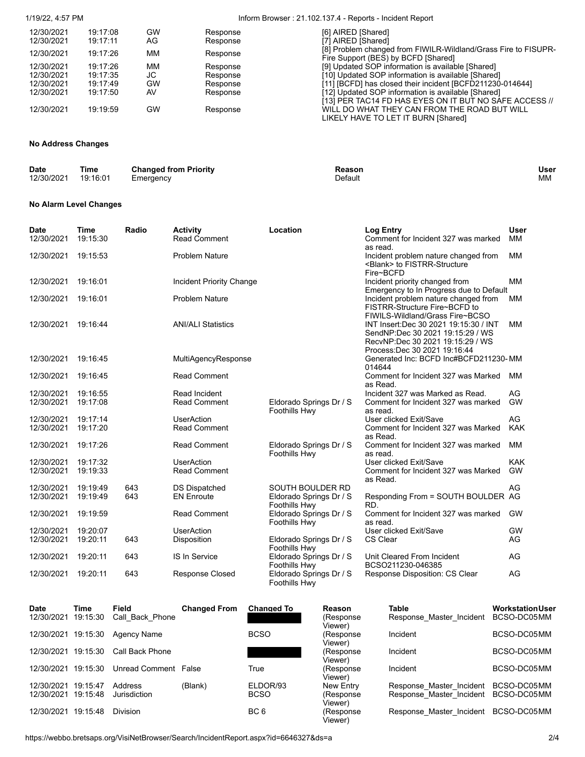# 1/19/22, 4:57 PM Inform Browser : 21.102.137.4 - Reports - Incident Report

| 12/30/2021 | 19:17:08 | GW  | Response | [6] AIRED [Shared]                                                                                    |
|------------|----------|-----|----------|-------------------------------------------------------------------------------------------------------|
| 12/30/2021 | 19:17:11 | AG. | Response | [7] AIRED [Shared]                                                                                    |
| 12/30/2021 | 19:17:26 | MМ  | Response | [8] Problem changed from FIWILR-Wildland/Grass Fire to FISUPR-<br>Fire Support (BES) by BCFD [Shared] |
| 12/30/2021 | 19:17:26 | MМ  | Response | [9] Updated SOP information is available [Shared]                                                     |
| 12/30/2021 | 19:17:35 | JС  | Response | [10] Updated SOP information is available [Shared]                                                    |
| 12/30/2021 | 19:17:49 | GW  | Response | [11] [BCFD] has closed their incident [BCFD211230-014644]                                             |
| 12/30/2021 | 19:17:50 | AV  | Response | [12] Updated SOP information is available [Shared]                                                    |
|            |          |     |          | [13] PER TAC14 FD HAS EYES ON IT BUT NO SAFE ACCESS //                                                |
| 12/30/2021 | 19:19:59 | GW  | Response | WILL DO WHAT THEY CAN FROM THE ROAD BUT WILL                                                          |
|            |          |     |          | LIKELY HAVE TO LET IT BURN [Shared]                                                                   |

# **No Address Changes**

| <b>Date</b> | Time<br>__ | <b>Changed from Priority</b> | Reasor  | User |
|-------------|------------|------------------------------|---------|------|
| 12/30/2021  | 19:16:01   | Emergency                    | Default | МM   |

#### **No Alarm Level Changes**

| <b>Date</b><br>12/30/2021 | <b>Time</b><br>19:15:30 | Radio | <b>Activity</b><br><b>Read Comment</b>      | Location                                        | <b>Log Entry</b><br>Comment for Incident 327 was marked                                                                                          | <b>User</b><br>MМ |
|---------------------------|-------------------------|-------|---------------------------------------------|-------------------------------------------------|--------------------------------------------------------------------------------------------------------------------------------------------------|-------------------|
| 12/30/2021                | 19:15:53                |       | <b>Problem Nature</b>                       |                                                 | as read.<br>Incident problem nature changed from<br><blank> to FISTRR-Structure<br/>Fire~BCFD</blank>                                            | <b>MM</b>         |
| 12/30/2021                | 19:16:01                |       | Incident Priority Change                    |                                                 | Incident priority changed from                                                                                                                   | MM                |
| 12/30/2021                | 19:16:01                |       | <b>Problem Nature</b>                       |                                                 | Emergency to In Progress due to Default<br>Incident problem nature changed from<br>FISTRR-Structure Fire~BCFD to                                 | MM                |
| 12/30/2021                | 19:16:44                |       | <b>ANI/ALI Statistics</b>                   |                                                 | FIWILS-Wildland/Grass Fire~BCSO<br>INT Insert:Dec 30 2021 19:15:30 / INT<br>SendNP:Dec 30 2021 19:15:29 / WS<br>RecvNP:Dec 30 2021 19:15:29 / WS | MM                |
| 12/30/2021                | 19:16:45                |       | MultiAgencyResponse                         |                                                 | Process: Dec 30 2021 19:16:44<br>Generated Inc: BCFD Inc#BCFD211230-MM<br>014644                                                                 |                   |
| 12/30/2021                | 19:16:45                |       | <b>Read Comment</b>                         |                                                 | Comment for Incident 327 was Marked<br>as Read.                                                                                                  | MМ                |
| 12/30/2021<br>12/30/2021  | 19:16:55<br>19:17:08    |       | <b>Read Incident</b><br><b>Read Comment</b> | Eldorado Springs Dr / S<br>Foothills Hwy        | Incident 327 was Marked as Read.<br>Comment for Incident 327 was marked<br>as read.                                                              | AG<br><b>GW</b>   |
| 12/30/2021<br>12/30/2021  | 19:17:14<br>19:17:20    |       | <b>UserAction</b><br><b>Read Comment</b>    |                                                 | User clicked Exit/Save<br>Comment for Incident 327 was Marked<br>as Read.                                                                        | AG<br><b>KAK</b>  |
| 12/30/2021                | 19:17:26                |       | <b>Read Comment</b>                         | Eldorado Springs Dr / S<br>Foothills Hwy        | Comment for Incident 327 was marked<br>as read.                                                                                                  | MM                |
| 12/30/2021                | 19:17:32                |       | <b>UserAction</b>                           |                                                 | User clicked Exit/Save                                                                                                                           | <b>KAK</b>        |
| 12/30/2021                | 19:19:33                |       | <b>Read Comment</b>                         |                                                 | Comment for Incident 327 was Marked<br>as Read.                                                                                                  | <b>GW</b>         |
| 12/30/2021                | 19:19:49                | 643   | <b>DS Dispatched</b>                        | SOUTH BOULDER RD                                |                                                                                                                                                  | AG                |
| 12/30/2021                | 19:19:49                | 643   | <b>EN Enroute</b>                           | Eldorado Springs Dr / S<br>Foothills Hwy        | Responding From = SOUTH BOULDER AG<br>RD.                                                                                                        |                   |
| 12/30/2021                | 19:19:59                |       | <b>Read Comment</b>                         | Eldorado Springs Dr / S<br>Foothills Hwy        | Comment for Incident 327 was marked<br>as read.                                                                                                  | <b>GW</b>         |
| 12/30/2021                | 19:20:07                |       | <b>UserAction</b>                           |                                                 | User clicked Exit/Save                                                                                                                           | <b>GW</b>         |
| 12/30/2021                | 19:20:11                | 643   | Disposition                                 | Eldorado Springs Dr / S<br>Foothills Hwy        | CS Clear                                                                                                                                         | AG                |
| 12/30/2021                | 19:20:11                | 643   | IS In Service                               | Eldorado Springs Dr / S<br>Foothills Hwy        | Unit Cleared From Incident<br>BCSO211230-046385                                                                                                  | AG                |
| 12/30/2021                | 19:20:11                | 643   | <b>Response Closed</b>                      | Eldorado Springs Dr / S<br><b>Foothills Hwy</b> | Response Disposition: CS Clear                                                                                                                   | AG                |

Viewer)

| <b>Date</b>         | Time     | Field                | <b>Changed From</b> | <b>Changed To</b> | Reason                | <b>Table</b>             | <b>Workstation User</b> |
|---------------------|----------|----------------------|---------------------|-------------------|-----------------------|--------------------------|-------------------------|
| 12/30/2021          | 19:15:30 | Call Back Phone      |                     |                   | (Response)<br>Viewer) | Response Master Incident | BCSO-DC05MM             |
| 12/30/2021 19:15:30 |          | Agency Name          |                     | <b>BCSO</b>       | (Response<br>Viewer)  | Incident                 | BCSO-DC05MM             |
| 12/30/2021          | 19:15:30 | Call Back Phone      |                     |                   | (Response)<br>Viewer) | Incident                 | BCSO-DC05MM             |
| 12/30/2021          | 19:15:30 | Unread Comment False |                     | True              | (Response)<br>Viewer) | Incident                 | BCSO-DC05MM             |
| 12/30/2021          | 19:15:47 | Address              | (Blank)             | ELDOR/93          | New Entry             | Response Master Incident | BCSO-DC05MM             |
| 12/30/2021 19:15:48 |          | Jurisdiction         |                     | <b>BCSO</b>       | (Response)<br>Viewer) | Response Master Incident | BCSO-DC05MM             |
| 12/30/2021          | 19:15:48 | <b>Division</b>      |                     | BC <sub>6</sub>   | (Response)            | Response Master Incident | BCSO-DC05MM             |

| Table<br>Response Master Incident BCSO-DC05MM        | WorkstationUser            |
|------------------------------------------------------|----------------------------|
| Incident                                             | BCSO-DC05MM                |
| Incident                                             | BCSO-DC05MM                |
| Incident                                             | BCSO-DC05MM                |
| Response Master Incident<br>Response Master Incident | BCSO-DC05MM<br>BCSO-DC05MM |
| Response Master Incident BCSO-DC05MM                 |                            |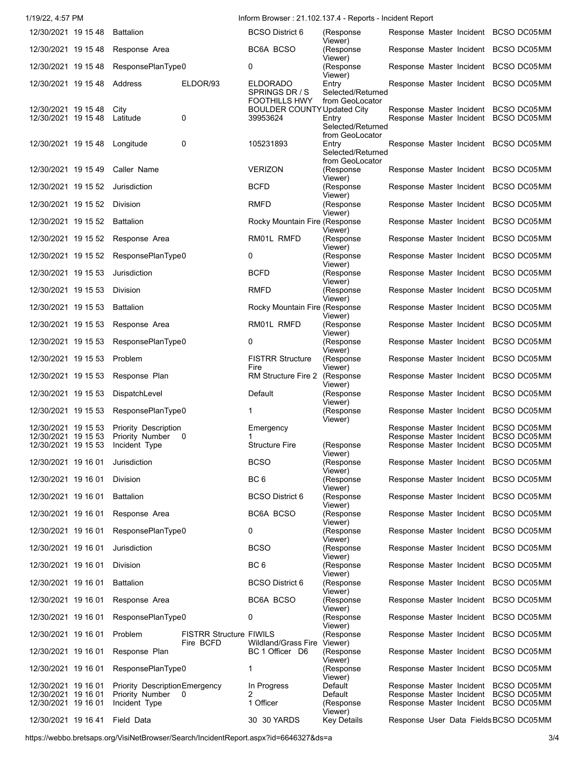| 1/19/22, 4:57 PM                                                  |                                                          |                         | Inform Browser: 21.102.137.4 - Reports - Incident Report               |                                                                  |  |                                                                                                                      |  |
|-------------------------------------------------------------------|----------------------------------------------------------|-------------------------|------------------------------------------------------------------------|------------------------------------------------------------------|--|----------------------------------------------------------------------------------------------------------------------|--|
| 12/30/2021 19 15 48                                               | <b>Battalion</b>                                         |                         | <b>BCSO District 6</b>                                                 | (Response                                                        |  | Response Master Incident BCSO DC05MM                                                                                 |  |
| 12/30/2021 19 15 48                                               | Response Area                                            |                         | BC6A BCSO                                                              | Viewer)<br>(Response<br>Viewer)                                  |  | Response Master Incident BCSO DC05MM                                                                                 |  |
| 12/30/2021 19 15 48                                               | ResponsePlanType0                                        |                         | 0                                                                      | (Response<br>Viewer)                                             |  | Response Master Incident BCSO DC05MM                                                                                 |  |
| 12/30/2021 19 15 48                                               | Address                                                  | ELDOR/93                | <b>ELDORADO</b><br>SPRINGS DR / S                                      | Entry<br>Selected/Returned<br>from GeoLocator                    |  | Response Master Incident BCSO DC05MM                                                                                 |  |
| 12/30/2021 19 15 48<br>12/30/2021 19 15 48                        | City<br>Latitude                                         | $\mathbf 0$             | <b>FOOTHILLS HWY</b><br><b>BOULDER COUNTY Updated City</b><br>39953624 | Entry<br>Selected/Returned                                       |  | Response Master Incident BCSO DC05MM<br>Response Master Incident BCSO DC05MM                                         |  |
| 12/30/2021 19 15 48                                               | Longitude                                                | $\mathbf 0$             | 105231893                                                              | from GeoLocator<br>Entry<br>Selected/Returned<br>from GeoLocator |  | Response Master Incident BCSO DC05MM                                                                                 |  |
| 12/30/2021 19 15 49                                               | Caller Name                                              |                         | <b>VERIZON</b>                                                         | (Response<br>Viewer)                                             |  | Response Master Incident BCSO DC05MM                                                                                 |  |
| 12/30/2021 19 15 52                                               | Jurisdiction                                             |                         | <b>BCFD</b>                                                            | (Response<br>Viewer)                                             |  | Response Master Incident BCSO DC05MM                                                                                 |  |
| 12/30/2021 19 15 52                                               | <b>Division</b>                                          |                         | <b>RMFD</b>                                                            | (Response                                                        |  | Response Master Incident BCSO DC05MM                                                                                 |  |
| 12/30/2021 19 15 52                                               | <b>Battalion</b>                                         |                         | Rocky Mountain Fire (Response                                          | Viewer)                                                          |  | Response Master Incident BCSO DC05MM                                                                                 |  |
| 12/30/2021 19 15 52                                               | Response Area                                            |                         | RM01L RMFD                                                             | Viewer)<br>(Response                                             |  | Response Master Incident BCSO DC05MM                                                                                 |  |
| 12/30/2021 19 15 52                                               | ResponsePlanType0                                        |                         | 0                                                                      | Viewer)<br>(Response                                             |  | Response Master Incident BCSO DC05MM                                                                                 |  |
| 12/30/2021 19 15 53                                               | Jurisdiction                                             |                         | <b>BCFD</b>                                                            | Viewer)<br>(Response                                             |  | Response Master Incident BCSO DC05MM                                                                                 |  |
| 12/30/2021 19 15 53                                               | Division                                                 |                         | <b>RMFD</b>                                                            | Viewer)<br>(Response                                             |  | Response Master Incident BCSO DC05MM                                                                                 |  |
| 12/30/2021 19 15 53                                               | <b>Battalion</b>                                         |                         | Rocky Mountain Fire (Response                                          | Viewer)                                                          |  | Response Master Incident BCSO DC05MM                                                                                 |  |
| 12/30/2021 19 15 53                                               | Response Area                                            |                         | RM01L RMFD                                                             | Viewer)<br>(Response                                             |  | Response Master Incident BCSO DC05MM                                                                                 |  |
| 12/30/2021 19 15 53                                               | ResponsePlanType0                                        |                         | 0                                                                      | Viewer)<br>(Response                                             |  | Response Master Incident BCSO DC05MM                                                                                 |  |
| 12/30/2021 19 15 53                                               | Problem                                                  |                         | <b>FISTRR Structure</b>                                                | Viewer)<br>(Response                                             |  | Response Master Incident BCSO DC05MM                                                                                 |  |
| 12/30/2021 19 15 53                                               | Response Plan                                            |                         | Fire<br>RM Structure Fire 2                                            | Viewer)<br>(Response                                             |  | Response Master Incident BCSO DC05MM                                                                                 |  |
| 12/30/2021 19 15 53                                               | DispatchLevel                                            |                         | Default                                                                | Viewer)<br>(Response                                             |  | Response Master Incident BCSO DC05MM                                                                                 |  |
| 12/30/2021 19 15 53                                               | ResponsePlanType0                                        |                         | 1                                                                      | Viewer)<br>(Response<br>Viewer)                                  |  | Response Master Incident BCSO DC05MM                                                                                 |  |
| 12/30/2021 19 15 53<br>12/30/2021 19 15 53<br>12/30/2021 19 15 53 | Priority Description<br>Priority Number<br>Incident Type | 0                       | Emergency<br>1<br><b>Structure Fire</b>                                | (Response                                                        |  | Response Master Incident BCSO DC05MM<br>Response Master Incident BCSO DC05MM<br>Response Master Incident BCSO DC05MM |  |
| 12/30/2021 19 16 01                                               | Jurisdiction                                             |                         | <b>BCSO</b>                                                            | Viewer)<br>(Response                                             |  | Response Master Incident BCSO DC05MM                                                                                 |  |
| 12/30/2021 19 16 01                                               | Division                                                 |                         | BC <sub>6</sub>                                                        | Viewer)<br>(Response                                             |  | Response Master Incident BCSO DC05MM                                                                                 |  |
| 12/30/2021 19 16 01                                               | <b>Battalion</b>                                         |                         | <b>BCSO District 6</b>                                                 | Viewer)<br>(Response                                             |  | Response Master Incident BCSO DC05MM                                                                                 |  |
| 12/30/2021 19 16 01                                               | Response Area                                            |                         | BC6A BCSO                                                              | Viewer)<br>(Response                                             |  | Response Master Incident BCSO DC05MM                                                                                 |  |
| 12/30/2021 19 16 01                                               | ResponsePlanType0                                        |                         | 0                                                                      | Viewer)<br>(Response                                             |  | Response Master Incident BCSO DC05MM                                                                                 |  |
| 12/30/2021 19 16 01                                               | Jurisdiction                                             |                         | <b>BCSO</b>                                                            | Viewer)<br>(Response                                             |  | Response Master Incident BCSO DC05MM                                                                                 |  |
| 12/30/2021 19 16 01                                               | Division                                                 |                         | BC <sub>6</sub>                                                        | Viewer)<br>(Response                                             |  | Response Master Incident BCSO DC05MM                                                                                 |  |
| 12/30/2021 19 16 01                                               | <b>Battalion</b>                                         |                         | <b>BCSO District 6</b>                                                 | Viewer)<br>(Response                                             |  | Response Master Incident BCSO DC05MM                                                                                 |  |
| 12/30/2021 19 16 01                                               | Response Area                                            |                         | BC6A BCSO                                                              | Viewer)<br>(Response                                             |  | Response Master Incident BCSO DC05MM                                                                                 |  |
| 12/30/2021 19 16 01                                               | ResponsePlanType0                                        |                         | 0                                                                      | Viewer)<br>(Response                                             |  | Response Master Incident BCSO DC05MM                                                                                 |  |
| 12/30/2021 19 16 01                                               | Problem                                                  | FISTRR Structure FIWILS |                                                                        | Viewer)<br>(Response                                             |  | Response Master Incident BCSO DC05MM                                                                                 |  |
| 12/30/2021 19 16 01                                               | Response Plan                                            | Fire BCFD               | Wildland/Grass Fire Viewer)<br>BC 1 Officer D6                         | (Response                                                        |  | Response Master Incident BCSO DC05MM                                                                                 |  |
| 12/30/2021 19 16 01                                               | ResponsePlanType0                                        |                         | $\mathbf{1}$                                                           | Viewer)<br>(Response                                             |  | Response Master Incident BCSO DC05MM                                                                                 |  |
| 12/30/2021 19 16 01                                               | Priority Description Emergency                           |                         | In Progress                                                            | Viewer)<br>Default                                               |  | Response Master Incident BCSO DC05MM                                                                                 |  |
| 12/30/2021 19 16 01<br>12/30/2021 19 16 01                        | Priority Number<br>Incident Type                         | $\Omega$                | 2<br>1 Officer                                                         | Default<br>(Response                                             |  | Response Master Incident BCSO DC05MM<br>Response Master Incident BCSO DC05MM                                         |  |
| 12/30/2021 19 16 41                                               | Field Data                                               |                         | 30 30 YARDS                                                            | Viewer)<br><b>Key Details</b>                                    |  | Response User Data Fields BCSO DC05MM                                                                                |  |

https://webbo.bretsaps.org/VisiNetBrowser/Search/IncidentReport.aspx?id=6646327&ds=a 3/4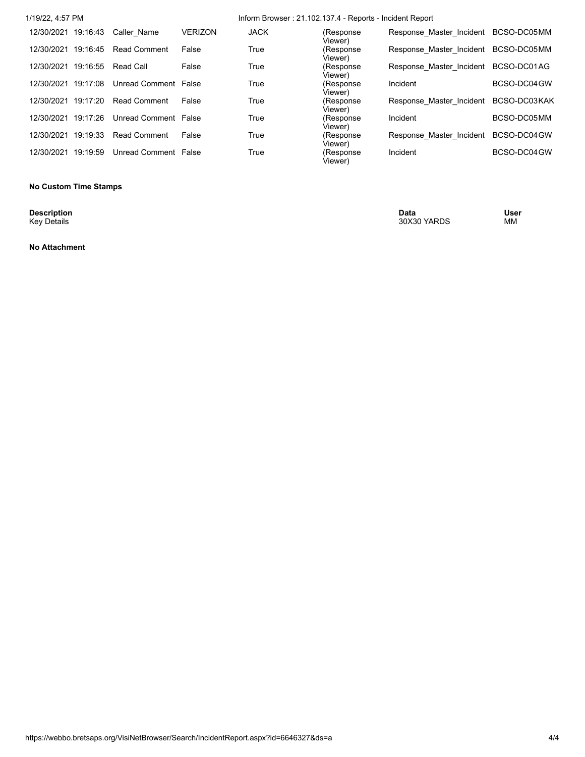| 1/19/22, 4:57 PM    |          |                      |                | Inform Browser: 21.102.137.4 - Reports - Incident Report |                       |                          |              |  |  |
|---------------------|----------|----------------------|----------------|----------------------------------------------------------|-----------------------|--------------------------|--------------|--|--|
| 12/30/2021 19:16:43 |          | Caller Name          | <b>VERIZON</b> | <b>JACK</b>                                              | (Response<br>Viewer). | Response Master Incident | BCSO-DC05MM  |  |  |
| 12/30/2021 19:16:45 |          | <b>Read Comment</b>  | False          | True                                                     | (Response<br>Viewer)  | Response Master Incident | BCSO-DC05MM  |  |  |
| 12/30/2021          | 19:16:55 | Read Call            | False          | True                                                     | (Response<br>Viewer)  | Response Master Incident | BCSO-DC01AG  |  |  |
| 12/30/2021 19:17:08 |          | Unread Comment False |                | True                                                     | (Response<br>Viewer)  | Incident                 | BCSO-DC04 GW |  |  |
| 12/30/2021 19:17:20 |          | <b>Read Comment</b>  | False          | True                                                     | (Response<br>Viewer)  | Response Master Incident | BCSO-DC03KAK |  |  |
| 12/30/2021 19:17:26 |          | Unread Comment False |                | True                                                     | (Response<br>Viewer)  | Incident                 | BCSO-DC05MM  |  |  |
| 12/30/2021 19:19:33 |          | <b>Read Comment</b>  | False          | True                                                     | (Response<br>Viewer)  | Response Master Incident | BCSO-DC04 GW |  |  |
| 12/30/2021 19:19:59 |          | Unread Comment False |                | True                                                     | (Response<br>Viewer)  | Incident                 | BCSO-DC04 GW |  |  |
|                     |          |                      |                |                                                          |                       |                          |              |  |  |

#### **No Custom Time Stamps**

**Description**<br>Key Details

**Description Data User** Key Details 30X30 YARDS MM

### **No Attachment**

https://webbo.bretsaps.org/VisiNetBrowser/Search/IncidentReport.aspx?id=6646327&ds=a 4/4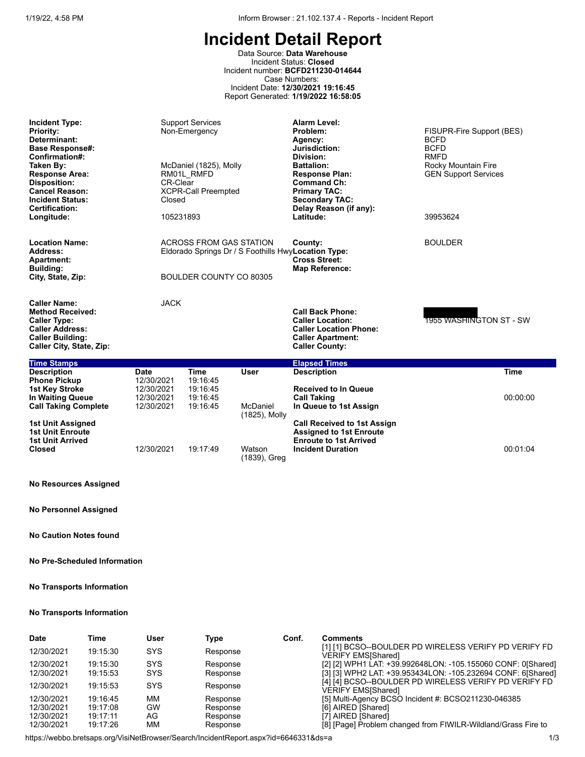Data Source: **Data Warehouse** Incident Status: **Closed** Incident number: **BCFD211230-014644** Case Numbers: Incident Date: **12/30/2021 19:16:45** Report Generated: **1/19/2022 16:58:05**

| <b>Incident Type:</b><br><b>Priority:</b><br>Determinant:<br><b>Base Response#:</b><br>Confirmation#:<br>Taken By:<br><b>Response Area:</b><br><b>Disposition:</b><br><b>Cancel Reason:</b><br><b>Incident Status:</b><br>Certification:<br>Longitude: | <b>CR-Clear</b><br>Closed<br>105231893                | <b>Support Services</b><br>Non-Emergency<br>McDaniel (1825), Molly<br>RM01L RMFD<br><b>XCPR-Call Preempted</b> |                           | <b>Alarm Level:</b><br>Problem:<br>Agency:<br>Jurisdiction:<br>Division:<br><b>Battalion:</b><br><b>Response Plan:</b><br><b>Command Ch:</b><br><b>Primary TAC:</b><br><b>Secondary TAC:</b><br>Delay Reason (if any):<br>Latitude: | FISUPR-Fire Support (BES)<br><b>BCFD</b><br><b>BCFD</b><br><b>RMFD</b><br>Rocky Mountain Fire<br><b>GEN Support Services</b><br>39953624 |
|--------------------------------------------------------------------------------------------------------------------------------------------------------------------------------------------------------------------------------------------------------|-------------------------------------------------------|----------------------------------------------------------------------------------------------------------------|---------------------------|-------------------------------------------------------------------------------------------------------------------------------------------------------------------------------------------------------------------------------------|------------------------------------------------------------------------------------------------------------------------------------------|
| <b>Location Name:</b><br>Address:<br><b>Apartment:</b><br><b>Building:</b><br>City, State, Zip:                                                                                                                                                        |                                                       | <b>ACROSS FROM GAS STATION</b><br>BOULDER COUNTY CO 80305                                                      |                           | County:<br>Eldorado Springs Dr / S Foothills HwyLocation Type:<br><b>Cross Street:</b><br><b>Map Reference:</b>                                                                                                                     | <b>BOULDER</b>                                                                                                                           |
| <b>Caller Name:</b><br><b>Method Received:</b><br><b>Caller Type:</b><br><b>Caller Address:</b><br><b>Caller Building:</b><br>Caller City, State, Zip:                                                                                                 | <b>JACK</b>                                           |                                                                                                                |                           | <b>Call Back Phone:</b><br><b>Caller Location:</b><br><b>Caller Location Phone:</b><br><b>Caller Apartment:</b><br><b>Caller County:</b>                                                                                            | 1955 WASHINGTON ST - SW                                                                                                                  |
| <b>Time Stamps</b>                                                                                                                                                                                                                                     |                                                       |                                                                                                                |                           | <b>Elapsed Times</b>                                                                                                                                                                                                                |                                                                                                                                          |
| <b>Description</b><br><b>Phone Pickup</b><br><b>1st Key Stroke</b><br>In Waiting Queue                                                                                                                                                                 | <b>Date</b><br>12/30/2021<br>12/30/2021<br>12/30/2021 | Time<br>19:16:45<br>19:16:45<br>19:16:45                                                                       | <b>User</b>               | <b>Description</b><br><b>Received to In Queue</b><br><b>Call Taking</b>                                                                                                                                                             | <b>Time</b><br>00:00:00                                                                                                                  |
| <b>Call Taking Complete</b>                                                                                                                                                                                                                            | 12/30/2021                                            | 19:16:45                                                                                                       | McDaniel<br>(1825), Molly | In Queue to 1st Assign                                                                                                                                                                                                              |                                                                                                                                          |
| 1st Unit Assigned<br><b>1st Unit Enroute</b><br><b>1st Unit Arrived</b>                                                                                                                                                                                |                                                       |                                                                                                                |                           | <b>Call Received to 1st Assign</b><br><b>Assigned to 1st Enroute</b><br><b>Enroute to 1st Arrived</b>                                                                                                                               |                                                                                                                                          |
| <b>Closed</b>                                                                                                                                                                                                                                          | 12/30/2021                                            | 19:17:49                                                                                                       | Watson<br>(1839), Greg    | <b>Incident Duration</b>                                                                                                                                                                                                            | 00:01:04                                                                                                                                 |

### **No Resources Assigned**

**No Personnel Assigned**

**No Caution Notes found**

#### **No Pre-Scheduled Information**

#### **No Transports Information**

### **No Transports Information**

| <b>Date</b> | Time     | User       | Type     | Conf. | <b>Comments</b>                                                                    |
|-------------|----------|------------|----------|-------|------------------------------------------------------------------------------------|
| 12/30/2021  | 19:15:30 | SYS        | Response |       | [1] [1] BCSO--BOULDER PD WIRELESS VERIFY PD VERIFY FD<br><b>VERIFY EMSIShared1</b> |
| 12/30/2021  | 19:15:30 | <b>SYS</b> | Response |       | [2] [2] WPH1 LAT: +39.992648LON: -105.155060 CONF: 0[Shared]                       |
| 12/30/2021  | 19:15:53 | <b>SYS</b> | Response |       | [3] [3] WPH2 LAT: +39.953434LON: -105.232694 CONF: 6[Shared]                       |
| 12/30/2021  | 19:15:53 | SYS        | Response |       | [4] [4] BCSO--BOULDER PD WIRELESS VERIFY PD VERIFY FD<br><b>VERIFY EMS[Shared]</b> |
| 12/30/2021  | 19:16:45 | ΜМ         | Response |       | [5] Multi-Agency BCSO Incident #: BCSO211230-046385                                |
| 12/30/2021  | 19:17:08 | GW         | Response |       | [6] AIRED [Shared]                                                                 |
| 12/30/2021  | 19:17:11 | AG         | Response |       | [7] AIRED [Shared]                                                                 |
| 12/30/2021  | 19:17:26 | ΜМ         | Response |       | [8] [Page] Problem changed from FIWILR-Wildland/Grass Fire to                      |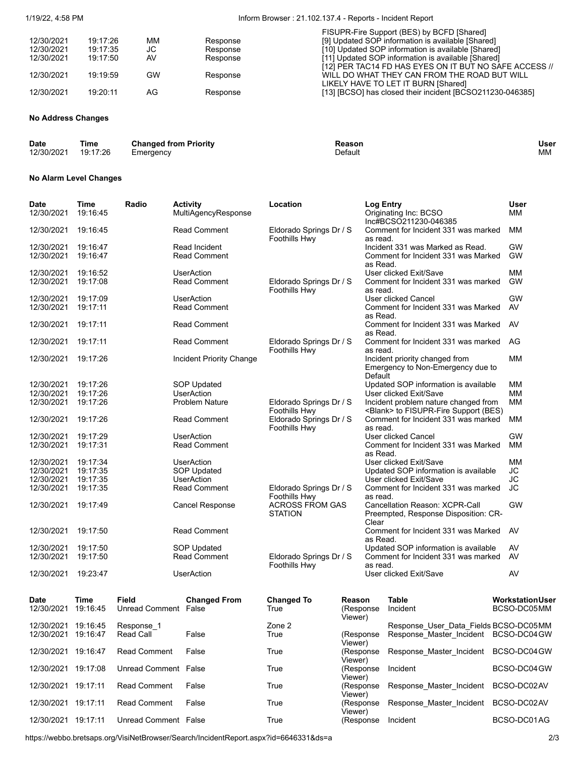#### 1/19/22, 4:58 PM Inform Browser : 21.102.137.4 - Reports - Incident Report

|            |          |     |          | FISUPR-Fire Support (BES) by BCFD [Shared]                |
|------------|----------|-----|----------|-----------------------------------------------------------|
| 12/30/2021 | 19:17:26 | ΜМ  | Response | [9] Updated SOP information is available [Shared]         |
| 12/30/2021 | 19:17:35 | JС  | Response | [10] Updated SOP information is available [Shared]        |
| 12/30/2021 | 19:17:50 | AV  | Response | [11] Updated SOP information is available [Shared]        |
|            |          |     |          | [12] PER TAC14 FD HAS EYES ON IT BUT NO SAFE ACCESS //    |
| 12/30/2021 | 19.19.59 | GW  | Response | WILL DO WHAT THEY CAN FROM THE ROAD BUT WILL              |
|            |          |     |          | LIKELY HAVE TO LET IT BURN [Shared]                       |
| 12/30/2021 | 19:20:11 | AG. | Response | [13] [BCSO] has closed their incident [BCSO211230-046385] |
|            |          |     |          |                                                           |

### **No Address Changes**

| <b>Date</b> | Time     | <b>Changed from Priority</b> | Reasor  | User |
|-------------|----------|------------------------------|---------|------|
| 12/30/2021  | 19:17:26 | Emeraencv                    | Default | МM   |

#### **No Alarm Level Changes**

| <b>Date</b><br>12/30/2021 | <b>Time</b><br>19:16:45 | Radio                                | <b>Activity</b><br>MultiAgencyResponse  | Location                                 |                      | <b>Log Entry</b> | Originating Inc: BCSO<br>Inc#BCSO211230-046385                                       |  | <b>User</b><br>МM                      |
|---------------------------|-------------------------|--------------------------------------|-----------------------------------------|------------------------------------------|----------------------|------------------|--------------------------------------------------------------------------------------|--|----------------------------------------|
| 12/30/2021                | 19:16:45                |                                      | <b>Read Comment</b>                     | Eldorado Springs Dr / S<br>Foothills Hwy |                      | as read.         | Comment for Incident 331 was marked                                                  |  | <b>MM</b>                              |
| 12/30/2021                | 19:16:47                |                                      | Read Incident                           |                                          |                      |                  | Incident 331 was Marked as Read.                                                     |  | <b>GW</b>                              |
| 12/30/2021                | 19:16:47                |                                      | <b>Read Comment</b>                     |                                          |                      | as Read.         | Comment for Incident 331 was Marked                                                  |  | <b>GW</b>                              |
| 12/30/2021                | 19:16:52                |                                      | <b>UserAction</b>                       |                                          |                      |                  | User clicked Exit/Save                                                               |  | <b>MM</b>                              |
| 12/30/2021                | 19:17:08                |                                      | Read Comment                            | Eldorado Springs Dr / S<br>Foothills Hwy |                      | as read.         | Comment for Incident 331 was marked                                                  |  | <b>GW</b>                              |
| 12/30/2021                | 19:17:09                |                                      | <b>UserAction</b>                       |                                          |                      |                  | User clicked Cancel                                                                  |  | <b>GW</b>                              |
| 12/30/2021                | 19:17:11                |                                      | Read Comment                            |                                          |                      | as Read.         | Comment for Incident 331 was Marked                                                  |  | AV                                     |
| 12/30/2021                | 19:17:11                |                                      | <b>Read Comment</b>                     |                                          |                      | as Read.         | Comment for Incident 331 was Marked                                                  |  | AV                                     |
| 12/30/2021                | 19:17:11                |                                      | <b>Read Comment</b>                     | Eldorado Springs Dr / S<br>Foothills Hwy |                      | as read.         | Comment for Incident 331 was marked                                                  |  | AG                                     |
| 12/30/2021                | 19:17:26                |                                      | Incident Priority Change                |                                          |                      |                  | Incident priority changed from<br>Emergency to Non-Emergency due to<br>Default       |  | <b>MM</b>                              |
| 12/30/2021                | 19:17:26                |                                      | <b>SOP Updated</b>                      |                                          |                      |                  | Updated SOP information is available                                                 |  | <b>MM</b>                              |
| 12/30/2021                | 19:17:26                |                                      | <b>UserAction</b>                       |                                          |                      |                  | User clicked Exit/Save                                                               |  | MM                                     |
| 12/30/2021                | 19:17:26                |                                      | <b>Problem Nature</b>                   | Eldorado Springs Dr / S<br>Foothills Hwy |                      |                  | Incident problem nature changed from<br><blank> to FISUPR-Fire Support (BES)</blank> |  | <b>MM</b>                              |
| 12/30/2021                | 19:17:26                |                                      | <b>Read Comment</b>                     | Eldorado Springs Dr / S<br>Foothills Hwy |                      | as read.         | Comment for Incident 331 was marked                                                  |  | <b>MM</b>                              |
| 12/30/2021                | 19:17:29                |                                      | <b>UserAction</b>                       |                                          |                      |                  | User clicked Cancel                                                                  |  | <b>GW</b>                              |
| 12/30/2021                | 19:17:31                |                                      | <b>Read Comment</b>                     |                                          |                      | as Read.         | Comment for Incident 331 was Marked                                                  |  | <b>MM</b>                              |
| 12/30/2021<br>12/30/2021  | 19:17:34<br>19:17:35    |                                      | <b>UserAction</b>                       |                                          |                      |                  | User clicked Exit/Save                                                               |  | <b>MM</b><br>JС                        |
| 12/30/2021                | 19:17:35                |                                      | <b>SOP Updated</b><br><b>UserAction</b> |                                          |                      |                  | Updated SOP information is available<br>User clicked Exit/Save                       |  | <b>JC</b>                              |
| 12/30/2021                | 19:17:35                |                                      | <b>Read Comment</b>                     | Eldorado Springs Dr / S                  |                      |                  | Comment for Incident 331 was marked                                                  |  | JС                                     |
| 12/30/2021                | 19:17:49                |                                      | <b>Cancel Response</b>                  | Foothills Hwy<br><b>ACROSS FROM GAS</b>  |                      | as read.         | Cancellation Reason: XCPR-Call                                                       |  | <b>GW</b>                              |
|                           |                         |                                      |                                         | <b>STATION</b>                           |                      | Clear            | Preempted, Response Disposition: CR-                                                 |  |                                        |
| 12/30/2021                | 19:17:50                |                                      | <b>Read Comment</b>                     |                                          |                      | as Read.         | Comment for Incident 331 was Marked                                                  |  | AV                                     |
| 12/30/2021                | 19:17:50                |                                      | <b>SOP Updated</b>                      |                                          |                      |                  | Updated SOP information is available                                                 |  | AV                                     |
| 12/30/2021                | 19:17:50                |                                      | <b>Read Comment</b>                     | Eldorado Springs Dr / S<br>Foothills Hwy |                      | as read.         | Comment for Incident 331 was marked                                                  |  | AV                                     |
| 12/30/2021                | 19:23:47                |                                      | <b>UserAction</b>                       |                                          |                      |                  | User clicked Exit/Save                                                               |  | AV                                     |
| <b>Date</b><br>12/30/2021 | <b>Time</b><br>19:16:45 | <b>Field</b><br>Unread Comment False | <b>Changed From</b>                     | <b>Changed To</b><br>True                | Reason<br>(Response  |                  | <b>Table</b><br>Incident                                                             |  | <b>Workstation User</b><br>BCSO-DC05MM |
|                           |                         |                                      |                                         |                                          | Viewer)              |                  |                                                                                      |  |                                        |
| 12/30/2021                | 19:16:45                | Response 1                           |                                         | Zone 2                                   |                      |                  | Response User Data Fields BCSO-DC05MM                                                |  |                                        |
| 12/30/2021 19:16:47       |                         | Read Call                            | False                                   | True                                     | (Response<br>Viewer) |                  | Response_Master_Incident BCSO-DC04GW                                                 |  |                                        |
| 12/30/2021 19:16:47       |                         | Read Comment                         | False                                   | True                                     | (Response<br>Viewer) |                  | Response Master Incident                                                             |  | BCSO-DC04GW                            |
| 12/30/2021 19:17:08       |                         | Unread Comment False                 |                                         | True                                     | (Response<br>Viewer) |                  | Incident                                                                             |  | BCSO-DC04 GW                           |

12/30/2021 19:17:11 Unread Comment False True True (Response Incident True BCSO-DC01AG

Viewer)<br>(Response

Viewer)<br>(Response Incident

https://webbo.bretsaps.org/VisiNetBrowser/Search/IncidentReport.aspx?id=6646331&ds=a 2/3

12/30/2021 19:17:11 Read Comment False True

12/30/2021 19:17:11 Read Comment False True

Response\_Master\_Incident BCSO-DC02AV

Response\_Master\_Incident BCSO-DC02AV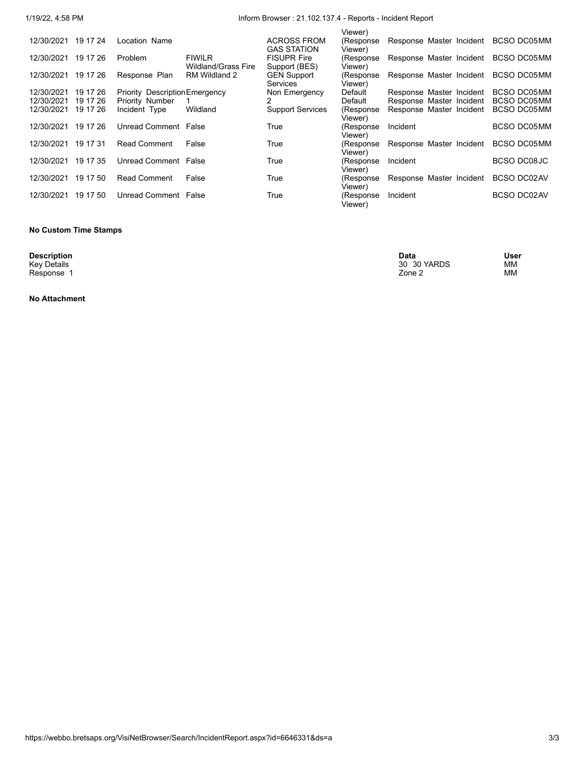# 1/19/22, 4:58 PM Inform Browser : 21.102.137.4 - Reports - Incident Report

|            |          |                                       |                                      |                                          | Viewer)               |                          |                    |
|------------|----------|---------------------------------------|--------------------------------------|------------------------------------------|-----------------------|--------------------------|--------------------|
| 12/30/2021 | 19 17 24 | Location Name                         |                                      | <b>ACROSS FROM</b><br><b>GAS STATION</b> | (Response)<br>Viewer) | Response Master Incident | BCSO DC05MM        |
| 12/30/2021 | 19 17 26 | Problem                               | <b>FIWILR</b><br>Wildland/Grass Fire | <b>FISUPR Fire</b><br>Support (BES)      | (Response)<br>Viewer) | Response Master Incident | BCSO DC05MM        |
| 12/30/2021 | 19 17 26 | Response Plan                         | RM Wildland 2                        | <b>GEN Support</b><br><b>Services</b>    | (Response)<br>Viewer) | Response Master Incident | BCSO DC05MM        |
| 12/30/2021 | 19 17 26 | <b>Priority Description Emergency</b> |                                      | Non Emergency                            | Default               | Response Master Incident | BCSO DC05MM        |
| 12/30/2021 | 19 17 26 | Priority Number                       |                                      |                                          | Default               | Response Master Incident | BCSO DC05MM        |
| 12/30/2021 | 19 17 26 | Incident Type                         | Wildland                             | <b>Support Services</b>                  | (Response)<br>Viewer) | Response Master Incident | BCSO DC05MM        |
| 12/30/2021 | 19 17 26 | Unread Comment False                  |                                      | True                                     | (Response<br>Viewer)  | Incident                 | BCSO DC05MM        |
| 12/30/2021 | 19 17 31 | <b>Read Comment</b>                   | False                                | True                                     | (Response<br>Viewer)  | Response Master Incident | <b>BCSO DC05MM</b> |
| 12/30/2021 | 19 17 35 | Unread Comment False                  |                                      | True                                     | (Response<br>Viewer). | Incident                 | BCSO DC08JC        |
| 12/30/2021 | 19 17 50 | <b>Read Comment</b>                   | False                                | True                                     | (Response<br>Viewer)  | Response Master Incident | BCSO DC02AV        |
| 12/30/2021 | 19 17 50 | Unread Comment False                  |                                      | True                                     | (Response<br>Viewer)  | Incident                 | <b>BCSO DC02AV</b> |
|            |          |                                       |                                      |                                          |                       |                          |                    |

#### **No Custom Time Stamps**

**Description**<br>Key Details<br>Response 1

**No Attachment**

**Description Data User** Key Details 30 30 YARDS MM Response 1 MM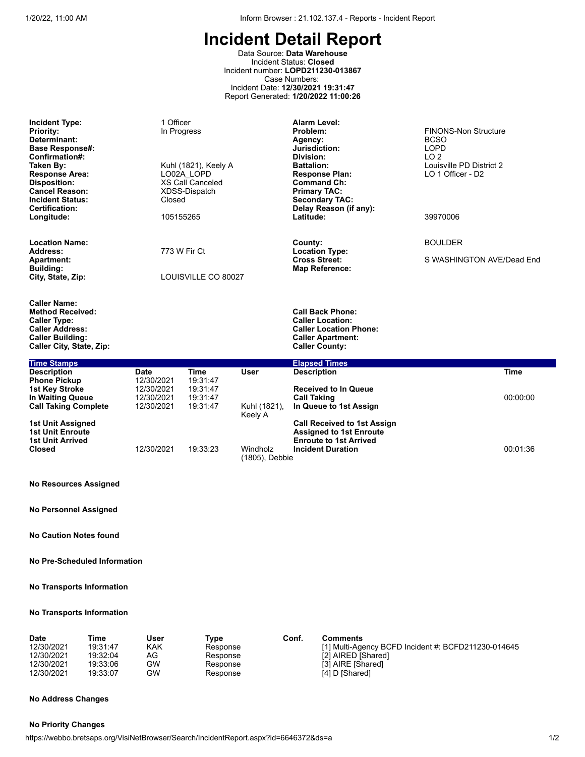Data Source: **Data Warehouse** Incident Status: **Closed** Incident number: **LOPD211230-013867** Case Numbers: Incident Date: **12/30/2021 19:31:47** Report Generated: **1/20/2022 11:00:26**

| <b>Incident Type:</b><br><b>Priority:</b><br>Determinant:<br><b>Base Response#:</b><br>Confirmation#:<br>Taken By:<br><b>Response Area:</b><br><b>Disposition:</b><br><b>Cancel Reason:</b><br><b>Incident Status:</b><br>Certification:<br>Longitude: |                                                      | 1 Officer<br>In Progress<br>Kuhl (1821), Keely A<br>LO02A LOPD<br>XS Call Canceled<br>XDSS-Dispatch<br>Closed<br>105155265 |              | Alarm Level:<br>Problem:<br>Agency:<br>Jurisdiction:<br>Division:<br><b>Battalion:</b><br><b>Response Plan:</b><br><b>Command Ch:</b><br><b>Primary TAC:</b><br><b>Secondary TAC:</b><br>Delay Reason (if any):<br>Latitude: | <b>FINONS-Non Structure</b><br><b>BCSO</b><br><b>LOPD</b><br>LO <sub>2</sub><br>Louisville PD District 2<br>LO 1 Officer - D2<br>39970006 |  |  |
|--------------------------------------------------------------------------------------------------------------------------------------------------------------------------------------------------------------------------------------------------------|------------------------------------------------------|----------------------------------------------------------------------------------------------------------------------------|--------------|------------------------------------------------------------------------------------------------------------------------------------------------------------------------------------------------------------------------------|-------------------------------------------------------------------------------------------------------------------------------------------|--|--|
| <b>Location Name:</b><br>Address:                                                                                                                                                                                                                      | 773 W Fir Ct                                         |                                                                                                                            |              | County:<br><b>Location Type:</b>                                                                                                                                                                                             | <b>BOULDER</b>                                                                                                                            |  |  |
| Apartment:<br><b>Building:</b><br>City, State, Zip:                                                                                                                                                                                                    | LOUISVILLE CO 80027                                  |                                                                                                                            |              | <b>Cross Street:</b><br><b>Map Reference:</b>                                                                                                                                                                                | S WASHINGTON AVE/Dead End                                                                                                                 |  |  |
| <b>Caller Name:</b><br><b>Method Received:</b><br><b>Caller Type:</b><br><b>Caller Address:</b><br><b>Caller Building:</b><br>Caller City, State, Zip:                                                                                                 |                                                      |                                                                                                                            |              | <b>Call Back Phone:</b><br><b>Caller Location:</b><br><b>Caller Location Phone:</b><br><b>Caller Apartment:</b><br><b>Caller County:</b>                                                                                     |                                                                                                                                           |  |  |
| <b>Time Stamps</b><br><b>Description</b>                                                                                                                                                                                                               | Date                                                 | <b>Time</b>                                                                                                                | <b>User</b>  | <b>Elapsed Times</b><br><b>Description</b>                                                                                                                                                                                   | <b>Time</b>                                                                                                                               |  |  |
| <b>Phone Pickup</b><br><b>1st Key Stroke</b><br>In Waiting Queue<br><b>Call Taking Complete</b>                                                                                                                                                        | 12/30/2021<br>12/30/2021<br>12/30/2021<br>12/30/2021 | 19:31:47<br>19:31:47<br>19:31:47<br>19:31:47                                                                               | Kuhl (1821), | <b>Received to In Queue</b><br><b>Call Taking</b><br>In Queue to 1st Assign                                                                                                                                                  | 00:00:00                                                                                                                                  |  |  |
| <b>1st Unit Assigned</b>                                                                                                                                                                                                                               |                                                      |                                                                                                                            | Keely A      | <b>Call Received to 1st Assign</b>                                                                                                                                                                                           |                                                                                                                                           |  |  |
| <b>1st Unit Enroute</b><br><b>1st Unit Arrived</b><br><b>Closed</b>                                                                                                                                                                                    | 12/30/2021                                           | 19:33:23<br>Windholz<br>(1805), Debbie                                                                                     |              | <b>Assigned to 1st Enroute</b><br><b>Enroute to 1st Arrived</b><br><b>Incident Duration</b>                                                                                                                                  | 00:01:36                                                                                                                                  |  |  |

#### **No Resources Assigned**

**No Personnel Assigned**

**No Caution Notes found**

#### **No Pre-Scheduled Information**

**No Transports Information**

#### **No Transports Information**

| <b>Date</b> | Time     | Jser | Type     | Conf. | Comments                                            |
|-------------|----------|------|----------|-------|-----------------------------------------------------|
| 12/30/2021  | 19:31:47 | KAK  | Response |       | [1] Multi-Agency BCFD Incident #: BCFD211230-014645 |
| 12/30/2021  | 19:32:04 | AG   | Response |       | [2] AIRED [Shared]                                  |
| 12/30/2021  | 19:33:06 | GW   | Response |       | [3] AIRE [Shared]                                   |
| 12/30/2021  | 19:33:07 | GW   | Response |       | [4] D [Shared]                                      |

#### **No Address Changes**

#### **No Priority Changes**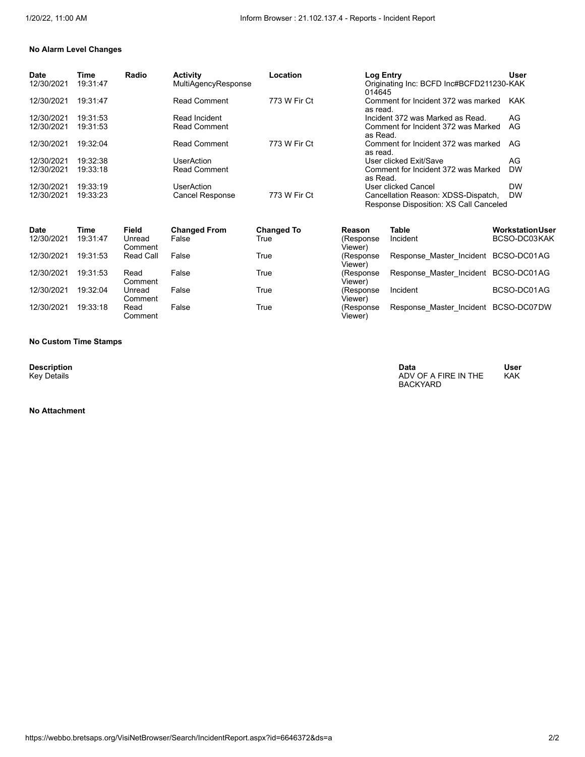#### **No Alarm Level Changes**

| Date<br>12/30/2021 | Time<br>19:31:47 | Radio | <b>Activity</b><br><b>MultiAgencyResponse</b> | Location     | <b>Log Entry</b><br>Originating Inc: BCFD Inc#BCFD211230-KAK<br>014645        | User       |
|--------------------|------------------|-------|-----------------------------------------------|--------------|-------------------------------------------------------------------------------|------------|
| 12/30/2021         | 19:31:47         |       | <b>Read Comment</b>                           | 773 W Fir Ct | Comment for Incident 372 was marked<br>as read.                               | <b>KAK</b> |
| 12/30/2021         | 19:31:53         |       | Read Incident                                 |              | Incident 372 was Marked as Read.                                              | AG         |
| 12/30/2021         | 19:31:53         |       | <b>Read Comment</b>                           |              | Comment for Incident 372 was Marked<br>as Read.                               | AG         |
| 12/30/2021         | 19:32:04         |       | <b>Read Comment</b>                           | 773 W Fir Ct | Comment for Incident 372 was marked<br>as read.                               | AG         |
| 12/30/2021         | 19:32:38         |       | UserAction                                    |              | User clicked Exit/Save                                                        | AG         |
| 12/30/2021         | 19:33:18         |       | <b>Read Comment</b>                           |              | Comment for Incident 372 was Marked<br>as Read.                               | <b>DW</b>  |
| 12/30/2021         | 19:33:19         |       | UserAction                                    |              | User clicked Cancel                                                           | <b>DW</b>  |
| 12/30/2021         | 19:33:23         |       | <b>Cancel Response</b>                        | 773 W Fir Ct | Cancellation Reason: XDSS-Dispatch,<br>Response Disposition: XS Call Canceled | <b>DW</b>  |

| <b>Date</b><br>12/30/2021 | Time<br>19:31:47 | Field<br>Unread   | <b>Changed From</b><br>False | <b>Changed To</b><br>True | Reason<br>(Response   | Table<br>Incident                    | <b>Workstation User</b><br>BCSO-DC03KAK |
|---------------------------|------------------|-------------------|------------------------------|---------------------------|-----------------------|--------------------------------------|-----------------------------------------|
|                           |                  | Comment           |                              |                           | Viewer)               |                                      |                                         |
| 12/30/2021                | 19:31:53         | Read Call         | False                        | True                      | (Response<br>Viewer)  | Response Master Incident BCSO-DC01AG |                                         |
| 12/30/2021                | 19:31:53         | Read<br>Comment   | False                        | True                      | (Response<br>Viewer)  | Response Master Incident BCSO-DC01AG |                                         |
| 12/30/2021                | 19:32:04         | Unread<br>Comment | False                        | True                      | (Response<br>Viewer)  | Incident                             | BCSO-DC01AG                             |
| 12/30/2021                | 19:33:18         | Read<br>Comment   | False                        | True                      | (Response)<br>Viewer) | Response Master Incident BCSO-DC07DW |                                         |

#### **No Custom Time Stamps**

**Description**<br>Key Details

#### **No Attachment**

**Description Data User** Key Details ADV OF A FIRE IN THE ADV OF A FIRE IN THE ADV OF A FIRE IN THE ADV OF A FIRE IN THE ADV OF A FIRE IN THE BACKYARD User<br>KAK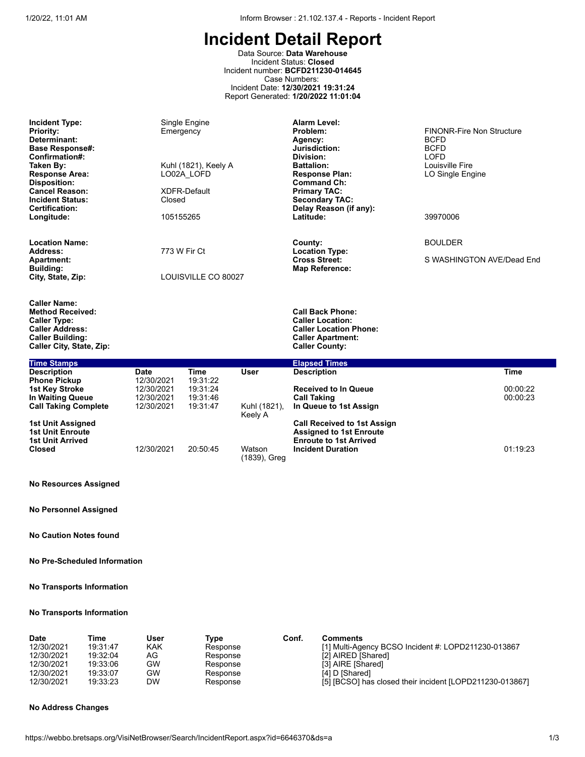Data Source: **Data Warehouse** Incident Status: **Closed** Incident number: **BCFD211230-014645** Case Numbers: Incident Date: **12/30/2021 19:31:24** Report Generated: **1/20/2022 11:01:04**

| <b>Incident Type:</b><br><b>Priority:</b><br>Determinant:<br><b>Base Response#:</b><br>Confirmation#:<br>Taken By:<br><b>Response Area:</b><br><b>Disposition:</b><br><b>Cancel Reason:</b><br><b>Incident Status:</b><br><b>Certification:</b><br>Longitude: | Emergency<br>Closed<br>105155265 | Single Engine<br>Kuhl (1821), Keely A<br>LO02A LOFD<br><b>XDFR-Default</b> |                         | <b>Alarm Level:</b><br>Problem:<br>Agency:<br>Jurisdiction:<br>Division:<br><b>Battalion:</b><br><b>Response Plan:</b><br><b>Command Ch:</b><br><b>Primary TAC:</b><br><b>Secondary TAC:</b><br>Delay Reason (if any):<br>Latitude: | <b>FINONR-Fire Non Structure</b><br><b>BCFD</b><br><b>BCFD</b><br><b>LOFD</b><br>Louisville Fire<br>LO Single Engine<br>39970006 |             |
|---------------------------------------------------------------------------------------------------------------------------------------------------------------------------------------------------------------------------------------------------------------|----------------------------------|----------------------------------------------------------------------------|-------------------------|-------------------------------------------------------------------------------------------------------------------------------------------------------------------------------------------------------------------------------------|----------------------------------------------------------------------------------------------------------------------------------|-------------|
| <b>Location Name:</b><br>Address:                                                                                                                                                                                                                             | 773 W Fir Ct                     |                                                                            |                         | County:<br><b>Location Type:</b>                                                                                                                                                                                                    | <b>BOULDER</b>                                                                                                                   |             |
| <b>Apartment:</b><br>Building:                                                                                                                                                                                                                                |                                  |                                                                            |                         | <b>Cross Street:</b><br><b>Map Reference:</b>                                                                                                                                                                                       | S WASHINGTON AVE/Dead End                                                                                                        |             |
| City, State, Zip:                                                                                                                                                                                                                                             |                                  | LOUISVILLE CO 80027                                                        |                         |                                                                                                                                                                                                                                     |                                                                                                                                  |             |
| <b>Caller Name:</b><br><b>Method Received:</b><br><b>Caller Type:</b><br><b>Caller Address:</b><br><b>Caller Building:</b><br>Caller City, State, Zip:                                                                                                        |                                  |                                                                            |                         | <b>Call Back Phone:</b><br><b>Caller Location:</b><br><b>Caller Location Phone:</b><br><b>Caller Apartment:</b><br><b>Caller County:</b>                                                                                            |                                                                                                                                  |             |
| <b>Time Stamps</b>                                                                                                                                                                                                                                            |                                  |                                                                            |                         | <b>Elapsed Times</b>                                                                                                                                                                                                                |                                                                                                                                  |             |
| <b>Description</b>                                                                                                                                                                                                                                            | Date                             | <b>Time</b>                                                                | <b>User</b>             | <b>Description</b>                                                                                                                                                                                                                  |                                                                                                                                  | <b>Time</b> |
| <b>Phone Pickup</b><br><b>1st Key Stroke</b>                                                                                                                                                                                                                  | 12/30/2021<br>12/30/2021         | 19:31:22<br>19:31:24                                                       |                         | <b>Received to In Queue</b>                                                                                                                                                                                                         |                                                                                                                                  | 00:00:22    |
| In Waiting Queue                                                                                                                                                                                                                                              | 12/30/2021                       | 19:31:46                                                                   |                         | <b>Call Taking</b>                                                                                                                                                                                                                  |                                                                                                                                  | 00:00:23    |
| <b>Call Taking Complete</b>                                                                                                                                                                                                                                   | 12/30/2021                       | 19:31:47                                                                   | Kuhl (1821),<br>Keely A | In Queue to 1st Assign                                                                                                                                                                                                              |                                                                                                                                  |             |
| <b>1st Unit Assigned</b><br><b>1st Unit Enroute</b>                                                                                                                                                                                                           |                                  |                                                                            |                         | <b>Call Received to 1st Assign</b><br><b>Assigned to 1st Enroute</b>                                                                                                                                                                |                                                                                                                                  |             |
| <b>1st Unit Arrived</b>                                                                                                                                                                                                                                       |                                  |                                                                            |                         | <b>Enroute to 1st Arrived</b>                                                                                                                                                                                                       |                                                                                                                                  |             |
| <b>Closed</b>                                                                                                                                                                                                                                                 | 12/30/2021                       | 20:50:45                                                                   | Watson<br>(1839), Greg  | <b>Incident Duration</b>                                                                                                                                                                                                            |                                                                                                                                  | 01:19:23    |

#### **No Resources Assigned**

**No Personnel Assigned**

**No Caution Notes found**

#### **No Pre-Scheduled Information**

#### **No Transports Information**

#### **No Transports Information**

| Date       | Time     | User | Tvpe     | Conf. | <b>Comments</b>                                          |
|------------|----------|------|----------|-------|----------------------------------------------------------|
| 12/30/2021 | 19:31:47 | KAK  | Response |       | [1] Multi-Agency BCSO Incident #: LOPD211230-013867      |
| 12/30/2021 | 19:32:04 | AG   | Response |       | [2] AIRED [Shared]                                       |
| 12/30/2021 | 19:33:06 | GW   | Response |       | [3] AIRE [Shared]                                        |
| 12/30/2021 | 19:33:07 | GW   | Response |       | [4] D [Shared]                                           |
| 12/30/2021 | 19:33:23 | DW   | Response |       | [5] [BCSO] has closed their incident [LOPD211230-013867] |

#### **No Address Changes**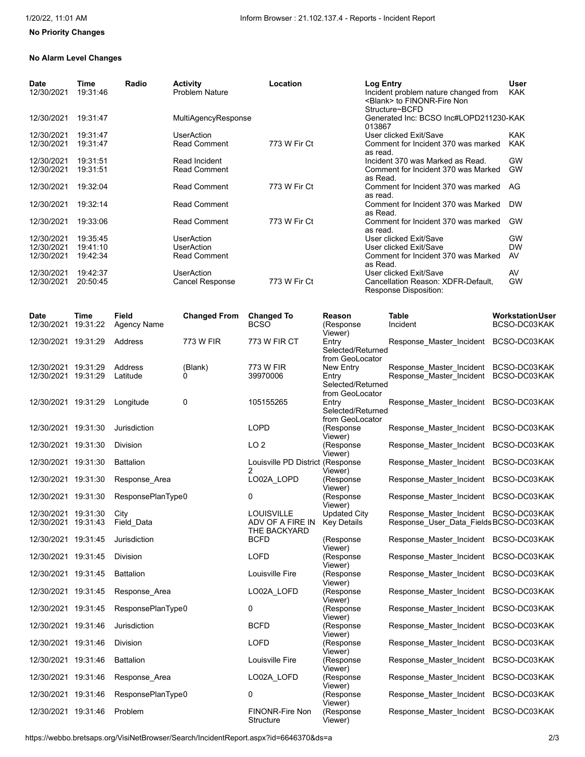# **No Priority Changes**

#### **No Alarm Level Changes**

| <b>Date</b><br>12/30/2021 | Time<br>19:31:46 | Radio | <b>Activity</b><br><b>Problem Nature</b> | Location     | Log Entry<br>Incident problem nature changed from<br><blank> to FINONR-Fire Non<br/>Structure~BCFD</blank> | User<br><b>KAK</b> |
|---------------------------|------------------|-------|------------------------------------------|--------------|------------------------------------------------------------------------------------------------------------|--------------------|
| 12/30/2021                | 19:31:47         |       | MultiAgencyResponse                      |              | Generated Inc: BCSO Inc#LOPD211230-KAK<br>013867                                                           |                    |
| 12/30/2021                | 19:31:47         |       | <b>UserAction</b>                        |              | User clicked Exit/Save                                                                                     | <b>KAK</b>         |
| 12/30/2021                | 19:31:47         |       | <b>Read Comment</b>                      | 773 W Fir Ct | Comment for Incident 370 was marked<br>as read.                                                            | <b>KAK</b>         |
| 12/30/2021                | 19:31:51         |       | Read Incident                            |              | Incident 370 was Marked as Read.                                                                           | <b>GW</b>          |
| 12/30/2021                | 19:31:51         |       | <b>Read Comment</b>                      |              | Comment for Incident 370 was Marked<br>as Read.                                                            | <b>GW</b>          |
| 12/30/2021                | 19:32:04         |       | <b>Read Comment</b>                      | 773 W Fir Ct | Comment for Incident 370 was marked<br>as read.                                                            | AG                 |
| 12/30/2021                | 19:32:14         |       | <b>Read Comment</b>                      |              | Comment for Incident 370 was Marked<br>as Read.                                                            | <b>DW</b>          |
| 12/30/2021                | 19:33:06         |       | <b>Read Comment</b>                      | 773 W Fir Ct | Comment for Incident 370 was marked<br>as read.                                                            | <b>GW</b>          |
| 12/30/2021                | 19:35:45         |       | <b>UserAction</b>                        |              | User clicked Exit/Save                                                                                     | GW                 |
| 12/30/2021                | 19:41:10         |       | <b>UserAction</b>                        |              | User clicked Exit/Save                                                                                     | <b>DW</b>          |
| 12/30/2021                | 19:42:34         |       | <b>Read Comment</b>                      |              | Comment for Incident 370 was Marked<br>as Read.                                                            | AV                 |
| 12/30/2021                | 19:42:37         |       | <b>UserAction</b>                        |              | User clicked Exit/Save                                                                                     | AV                 |
| 12/30/2021                | 20:50:45         |       | <b>Cancel Response</b>                   | 773 W Fir Ct | Cancellation Reason: XDFR-Default,<br>Response Disposition:                                                | <b>GW</b>          |

| Date<br>12/30/2021                         | Time<br>19:31:22 | <b>Field</b><br><b>Agency Name</b> | <b>Changed From</b> | <b>Changed To</b><br><b>BCSO</b>                      | Reason<br>(Response<br>Viewer)                             | <b>Table</b><br>Incident                                           | <b>Workstation User</b><br>BCSO-DC03KAK |
|--------------------------------------------|------------------|------------------------------------|---------------------|-------------------------------------------------------|------------------------------------------------------------|--------------------------------------------------------------------|-----------------------------------------|
| 12/30/2021 19:31:29                        |                  | Address                            | 773 W FIR           | <b>773 W FIR CT</b>                                   | Entry<br>Selected/Returned<br>from GeoLocator              | Response Master Incident                                           | BCSO-DC03KAK                            |
| 12/30/2021 19:31:29<br>12/30/2021 19:31:29 |                  | Address<br>Latitude                | (Blank)<br>0        | 773 W FIR<br>39970006                                 | New Entry<br>Entry<br>Selected/Returned<br>from GeoLocator | Response_Master_Incident<br>Response Master Incident               | BCSO-DC03KAK<br>BCSO-DC03KAK            |
| 12/30/2021 19:31:29                        |                  | Longitude                          | 0                   | 105155265                                             | Entry<br>Selected/Returned<br>from GeoLocator              | Response Master Incident                                           | BCSO-DC03KAK                            |
| 12/30/2021 19:31:30                        |                  | Jurisdiction                       |                     | <b>LOPD</b>                                           | (Response<br>Viewer)                                       | Response_Master_Incident                                           | BCSO-DC03KAK                            |
| 12/30/2021 19:31:30                        |                  | <b>Division</b>                    |                     | LO <sub>2</sub>                                       | (Response<br>Viewer)                                       | Response Master Incident                                           | BCSO-DC03KAK                            |
| 12/30/2021 19:31:30                        |                  | <b>Battalion</b>                   |                     | Louisville PD District (Response<br>$\overline{2}$    | Viewer)                                                    | Response Master Incident                                           | BCSO-DC03KAK                            |
| 12/30/2021 19:31:30                        |                  | Response Area                      |                     | LO02A LOPD                                            | (Response<br>Viewer)                                       | Response_Master_Incident                                           | BCSO-DC03KAK                            |
| 12/30/2021 19:31:30                        |                  | ResponsePlanType0                  |                     | 0                                                     | (Response<br>Viewer)                                       | Response Master Incident                                           | BCSO-DC03KAK                            |
| 12/30/2021 19:31:30<br>12/30/2021 19:31:43 |                  | City<br>Field_Data                 |                     | <b>LOUISVILLE</b><br>ADV OF A FIRE IN<br>THE BACKYARD | Updated City<br><b>Key Details</b>                         | Response Master Incident<br>Response User Data Fields BCSO-DC03KAK | BCSO-DC03KAK                            |
| 12/30/2021 19:31:45                        |                  | Jurisdiction                       |                     | <b>BCFD</b>                                           | (Response<br>Viewer)                                       | Response Master Incident                                           | BCSO-DC03KAK                            |
| 12/30/2021 19:31:45                        |                  | Division                           |                     | LOFD                                                  | (Response<br>Viewer)                                       | Response Master Incident                                           | BCSO-DC03KAK                            |
| 12/30/2021 19:31:45                        |                  | <b>Battalion</b>                   |                     | Louisville Fire                                       | (Response<br>Viewer)                                       | Response Master Incident                                           | BCSO-DC03KAK                            |
| 12/30/2021 19:31:45                        |                  | Response_Area                      |                     | LO02A_LOFD                                            | (Response<br>Viewer)                                       | Response Master Incident                                           | BCSO-DC03KAK                            |
| 12/30/2021 19:31:45                        |                  | ResponsePlanType0                  |                     | 0                                                     | (Response<br>Viewer)                                       | Response Master Incident                                           | BCSO-DC03KAK                            |
| 12/30/2021 19:31:46                        |                  | Jurisdiction                       |                     | <b>BCFD</b>                                           | (Response<br>Viewer)                                       | Response Master Incident                                           | BCSO-DC03KAK                            |
| 12/30/2021 19:31:46                        |                  | <b>Division</b>                    |                     | <b>LOFD</b>                                           | (Response<br>Viewer)                                       | Response Master Incident                                           | BCSO-DC03KAK                            |
| 12/30/2021 19:31:46                        |                  | <b>Battalion</b>                   |                     | Louisville Fire                                       | (Response<br>Viewer)                                       | Response Master Incident                                           | BCSO-DC03KAK                            |
| 12/30/2021 19:31:46                        |                  | Response_Area                      |                     | LO02A_LOFD                                            | (Response<br>Viewer)                                       | Response_Master_Incident                                           | BCSO-DC03KAK                            |
| 12/30/2021 19:31:46                        |                  | ResponsePlanType0                  |                     | 0                                                     | (Response<br>Viewer)                                       | Response Master Incident                                           | BCSO-DC03KAK                            |
| 12/30/2021 19:31:46                        |                  | Problem                            |                     | <b>FINONR-Fire Non</b><br>Structure                   | (Response<br>Viewer)                                       | Response Master Incident                                           | BCSO-DC03KAK                            |

https://webbo.bretsaps.org/VisiNetBrowser/Search/IncidentReport.aspx?id=6646370&ds=a 2/3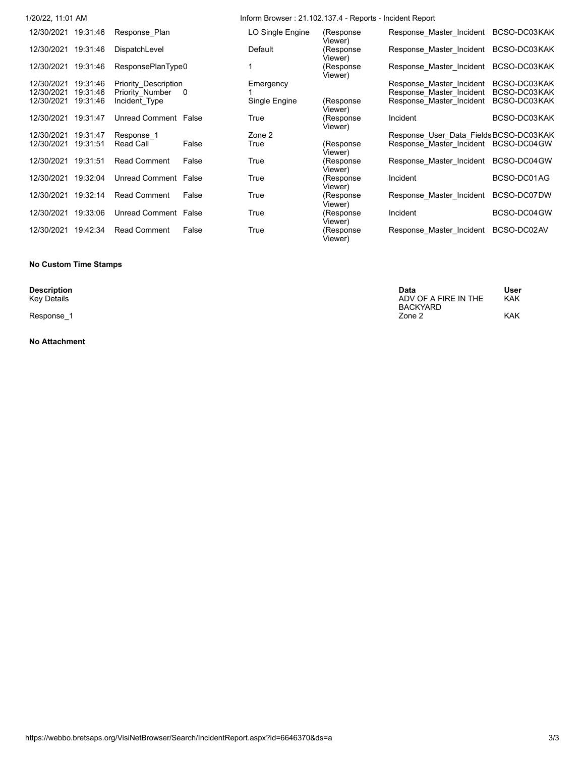| 1/20/22, 11:01 AM      |                      |          | Inform Browser: 21.102.137.4 - Reports - Incident Report |                      |                                        |              |
|------------------------|----------------------|----------|----------------------------------------------------------|----------------------|----------------------------------------|--------------|
| 12/30/2021<br>19:31:46 | Response Plan        |          | LO Single Engine                                         | (Response<br>Viewer) | Response Master Incident               | BCSO-DC03KAK |
| 12/30/2021<br>19:31:46 | DispatchLevel        |          | Default                                                  | (Response<br>Viewer) | Response Master Incident               | BCSO-DC03KAK |
| 12/30/2021<br>19:31:46 | ResponsePlanType0    |          |                                                          | (Response<br>Viewer) | Response Master Incident               | BCSO-DC03KAK |
| 12/30/2021<br>19:31:46 | Priority Description |          | Emergency                                                |                      | Response Master Incident               | BCSO-DC03KAK |
| 12/30/2021<br>19:31:46 | Priority Number      | $\Omega$ |                                                          |                      | Response Master Incident               | BCSO-DC03KAK |
| 12/30/2021<br>19:31:46 | Incident Type        |          | Single Engine                                            | (Response<br>Viewer) | Response Master Incident               | BCSO-DC03KAK |
| 19:31:47<br>12/30/2021 | Unread Comment False |          | True                                                     | (Response<br>Viewer) | Incident                               | BCSO-DC03KAK |
| 12/30/2021<br>19:31:47 | Response 1           |          | Zone 2                                                   |                      | Response User Data Fields BCSO-DC03KAK |              |
| 19:31:51<br>12/30/2021 | Read Call            | False    | True                                                     | (Response<br>Viewer) | Response Master Incident               | BCSO-DC04 GW |
| 19:31:51<br>12/30/2021 | <b>Read Comment</b>  | False    | True                                                     | (Response<br>Viewer) | Response Master Incident               | BCSO-DC04GW  |
| 19:32:04<br>12/30/2021 | Unread Comment False |          | True                                                     | (Response<br>Viewer) | Incident                               | BCSO-DC01AG  |
| 19:32:14<br>12/30/2021 | <b>Read Comment</b>  | False    | True                                                     | (Response<br>Viewer) | Response Master Incident               | BCSO-DC07DW  |
| 19:33:06<br>12/30/2021 | Unread Comment False |          | True                                                     | (Response<br>Viewer) | Incident                               | BCSO-DC04 GW |
| 12/30/2021<br>19:42:34 | <b>Read Comment</b>  | False    | True                                                     | (Response<br>Viewer) | Response Master Incident               | BCSO-DC02AV  |

#### **No Custom Time Stamps**

#### **No Attachment**

| Description   | Data                 | User       |
|---------------|----------------------|------------|
| Key Details   | ADV OF A FIRE IN THE | <b>KAK</b> |
|               | BACKYARD             |            |
| Response<br>_ | Zone 2               | <b>KAK</b> |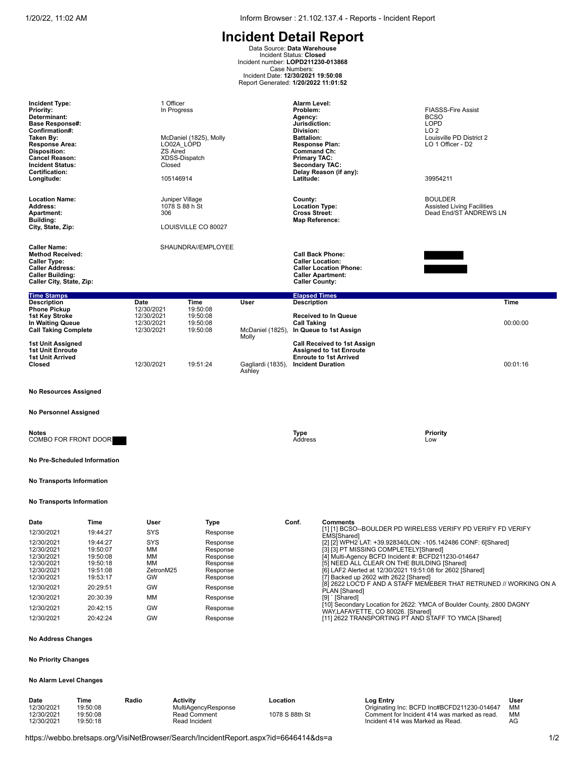1/20/22, 11:02 AM Inform Browser : 21.102.137.4 - Reports - Incident Report

**Incident Detail Report**<br>
Data Source: Data Warehouse<br>
Incident Status: Closed<br>
Incident number: LOPD211230-013868<br>
Case Numbers:<br>
Case Numbers:<br>
Report Generated: 1/200/2022 11:01:52

| <b>Incident Type:</b><br><b>Priority:</b><br>Determinant:<br><b>Base Response#:</b>                                                                    |                                                          | 1 Officer<br>In Progress                             |                                                          |                            | Alarm Level:<br>Problem:<br>Agency:<br>Jurisdiction:                                                                   |                                                                                                                                                                                                                                                                          | <b>FIASSS-Fire Assist</b><br><b>BCSO</b><br><b>LOPD</b>                       |          |
|--------------------------------------------------------------------------------------------------------------------------------------------------------|----------------------------------------------------------|------------------------------------------------------|----------------------------------------------------------|----------------------------|------------------------------------------------------------------------------------------------------------------------|--------------------------------------------------------------------------------------------------------------------------------------------------------------------------------------------------------------------------------------------------------------------------|-------------------------------------------------------------------------------|----------|
| Confirmation#:<br>Taken By:<br><b>Response Area:</b><br><b>Disposition:</b><br><b>Cancel Reason:</b><br><b>Incident Status:</b>                        |                                                          | LO02A LOPD<br><b>ZS Aired</b><br>Closed              | McDaniel (1825), Molly<br>XDSS-Dispatch                  |                            | Division:<br><b>Battalion:</b><br><b>Response Plan:</b><br>Command Ch:<br><b>Primary TAC:</b><br><b>Secondary TAC:</b> |                                                                                                                                                                                                                                                                          | LO <sub>2</sub><br>Louisville PD District 2<br>LO 1 Officer - D2              |          |
| <b>Certification:</b><br>Longitude:                                                                                                                    |                                                          | 105146914                                            |                                                          |                            | Latitude:                                                                                                              | Delay Reason (if any):                                                                                                                                                                                                                                                   | 39954211                                                                      |          |
| <b>Location Name:</b><br>Address:<br><b>Apartment:</b><br>Building:<br>City, State, Zip:                                                               |                                                          | Juniper Village<br>1078 S 88 h St<br>306             | LOUISVILLE CO 80027                                      |                            | County:<br><b>Location Type:</b><br><b>Cross Street:</b><br><b>Map Reference:</b>                                      |                                                                                                                                                                                                                                                                          | <b>BOULDER</b><br><b>Assisted Living Facilities</b><br>Dead End/ST ANDREWS LN |          |
| <b>Caller Name:</b><br><b>Method Received:</b><br><b>Caller Type:</b><br><b>Caller Address:</b><br><b>Caller Building:</b><br>Caller City, State, Zip: |                                                          |                                                      | SHAUNDRA//EMPLOYEE                                       |                            | <b>Caller Location:</b><br><b>Caller County:</b>                                                                       | <b>Call Back Phone:</b><br><b>Caller Location Phone:</b><br><b>Caller Apartment:</b>                                                                                                                                                                                     |                                                                               |          |
| <b>Time Stamps</b><br><b>Description</b>                                                                                                               |                                                          | Date                                                 | Time                                                     | User                       | <b>Elapsed Times</b><br><b>Description</b>                                                                             |                                                                                                                                                                                                                                                                          |                                                                               | Time     |
| <b>Phone Pickup</b><br>1st Key Stroke<br>In Waiting Queue<br><b>Call Taking Complete</b>                                                               |                                                          | 12/30/2021<br>12/30/2021<br>12/30/2021<br>12/30/2021 | 19:50:08<br>19:50:08<br>19:50:08<br>19:50:08             | McDaniel (1825),           | <b>Call Taking</b>                                                                                                     | <b>Received to In Queue</b><br>In Queue to 1st Assign                                                                                                                                                                                                                    |                                                                               | 00:00:00 |
| 1st Unit Assigned<br><b>1st Unit Enroute</b><br><b>1st Unit Arrived</b><br>Closed                                                                      |                                                          | 12/30/2021                                           | 19:51:24                                                 | Molly<br>Gagliardi (1835), |                                                                                                                        | <b>Call Received to 1st Assign</b><br><b>Assigned to 1st Enroute</b><br><b>Enroute to 1st Arrived</b><br><b>Incident Duration</b>                                                                                                                                        |                                                                               | 00:01:16 |
|                                                                                                                                                        |                                                          |                                                      |                                                          | Ashley                     |                                                                                                                        |                                                                                                                                                                                                                                                                          |                                                                               |          |
| <b>No Resources Assigned</b>                                                                                                                           |                                                          |                                                      |                                                          |                            |                                                                                                                        |                                                                                                                                                                                                                                                                          |                                                                               |          |
| <b>No Personnel Assigned</b>                                                                                                                           |                                                          |                                                      |                                                          |                            |                                                                                                                        |                                                                                                                                                                                                                                                                          |                                                                               |          |
| Notes<br>COMBO FOR FRONT DOOR                                                                                                                          |                                                          |                                                      |                                                          |                            | Type<br>Address                                                                                                        |                                                                                                                                                                                                                                                                          | Priority<br>Low                                                               |          |
| No Pre-Scheduled Information                                                                                                                           |                                                          |                                                      |                                                          |                            |                                                                                                                        |                                                                                                                                                                                                                                                                          |                                                                               |          |
| No Transports Information                                                                                                                              |                                                          |                                                      |                                                          |                            |                                                                                                                        |                                                                                                                                                                                                                                                                          |                                                                               |          |
| <b>No Transports Information</b>                                                                                                                       |                                                          |                                                      |                                                          |                            |                                                                                                                        |                                                                                                                                                                                                                                                                          |                                                                               |          |
| Date                                                                                                                                                   | Time                                                     | User                                                 | Type                                                     |                            | Conf.                                                                                                                  | <b>Comments</b>                                                                                                                                                                                                                                                          |                                                                               |          |
| 12/30/2021                                                                                                                                             | 19:44:27                                                 | <b>SYS</b>                                           | Response                                                 |                            |                                                                                                                        | [1] [1] BCSO--BOULDER PD WIRELESS VERIFY PD VERIFY FD VERIFY<br>EMS[Shared]                                                                                                                                                                                              |                                                                               |          |
| 12/30/2021<br>12/30/2021<br>12/30/2021<br>12/30/2021<br>12/30/2021                                                                                     | 19:44:27<br>19:50:07<br>19:50:08<br>19:50:18<br>19:51:08 | <b>SYS</b><br>ΜМ<br>MM<br>MM<br>ZetronM25            | Response<br>Response<br>Response<br>Response<br>Response |                            |                                                                                                                        | [2] [2] WPH2 LAT: +39.928340LON: -105.142486 CONF: 6[Shared]<br>[3] [3] PT MISSING COMPLETELY[Shared]<br>[4] Multi-Agency BCFD Incident #: BCFD211230-014647<br>[5] NEED ALL CLEAR ON THE BUILDING [Shared]<br>[6] LAF2 Alerted at 12/30/2021 19:51:08 for 2602 [Shared] |                                                                               |          |
| 12/30/2021                                                                                                                                             | 19:53:17                                                 | GW                                                   | Response                                                 |                            |                                                                                                                        | [7] Backed up 2602 with 2622 [Shared]<br>[8] 2622 LOC'D F AND A STAFF MEMEBER THAT RETRUNED // WORKING ON A                                                                                                                                                              |                                                                               |          |
| 12/30/2021                                                                                                                                             | 20:29:51                                                 | GW                                                   | Response                                                 |                            |                                                                                                                        | PLAN [Shared]                                                                                                                                                                                                                                                            |                                                                               |          |
| 12/30/2021                                                                                                                                             | 20:30:39                                                 | MM                                                   | Response                                                 |                            |                                                                                                                        | [9] ` [Shared]<br>[10] Secondary Location for 2622: YMCA of Boulder County, 2800 DAGNY                                                                                                                                                                                   |                                                                               |          |
| 12/30/2021<br>12/30/2021                                                                                                                               | 20:42:15<br>20:42:24                                     | GW<br>GW                                             | Response                                                 |                            |                                                                                                                        | WAY,LAFAYETTE, CO 80026. [Shared]<br>[11] 2622 TRANSPORTING PT AND STAFF TO YMCA [Shared]                                                                                                                                                                                |                                                                               |          |
|                                                                                                                                                        |                                                          |                                                      | Response                                                 |                            |                                                                                                                        |                                                                                                                                                                                                                                                                          |                                                                               |          |
| <b>No Address Changes</b>                                                                                                                              |                                                          |                                                      |                                                          |                            |                                                                                                                        |                                                                                                                                                                                                                                                                          |                                                                               |          |
| <b>No Priority Changes</b>                                                                                                                             |                                                          |                                                      |                                                          |                            |                                                                                                                        |                                                                                                                                                                                                                                                                          |                                                                               |          |

# **No Alarm Level Changes**

| Date<br>12/30/2021       | Time<br>19:50:08     | Radio | Activitv<br>MultiAgencyResponse      | Location       | Loa Entrv<br>Originating Inc: BCFD Inc#BCFD211230-014647                         | User<br>ΜМ |
|--------------------------|----------------------|-------|--------------------------------------|----------------|----------------------------------------------------------------------------------|------------|
| 12/30/2021<br>12/30/2021 | 19:50:08<br>19:50:18 |       | <b>Read Comment</b><br>Read Incident | 1078 S 88th St | Comment for Incident 414 was marked as read.<br>Incident 414 was Marked as Read. | MМ<br>AG   |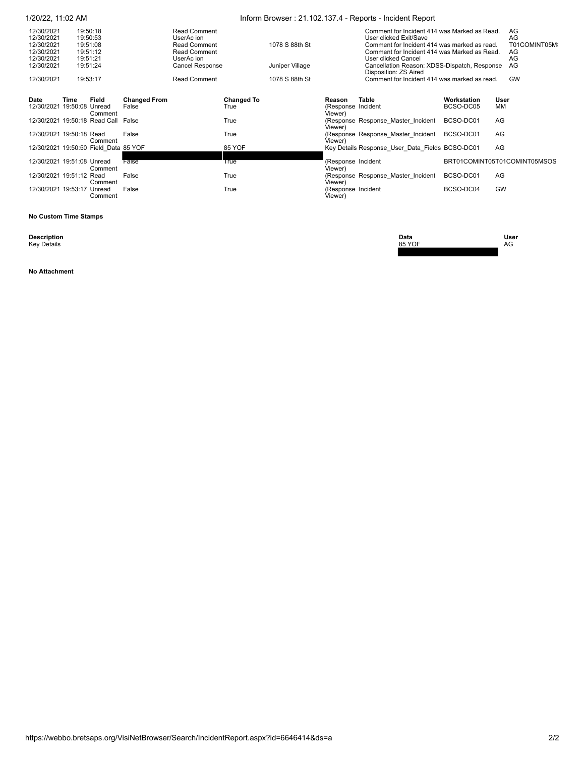|                                        | 1/20/22, 11:02 AM                           |         |                              |                                                          |                           |                 |                                         | Inform Browser: 21.102.137.4 - Reports - Incident Report                                                               |                              |                          |  |  |
|----------------------------------------|---------------------------------------------|---------|------------------------------|----------------------------------------------------------|---------------------------|-----------------|-----------------------------------------|------------------------------------------------------------------------------------------------------------------------|------------------------------|--------------------------|--|--|
| 12/30/2021<br>12/30/2021<br>12/30/2021 | 19:50:18<br>19:50:53<br>19:51:08            |         |                              | <b>Read Comment</b><br>UserAc ion<br><b>Read Comment</b> |                           | 1078 S 88th St  |                                         | Comment for Incident 414 was Marked as Read.<br>User clicked Exit/Save<br>Comment for Incident 414 was marked as read. |                              | AG<br>AG<br>T01COMINT05M |  |  |
| 12/30/2021<br>12/30/2021               | 19:51:12<br>19:51:21                        |         |                              | <b>Read Comment</b><br>UserAc ion                        |                           |                 |                                         | Comment for Incident 414 was Marked as Read.<br>User clicked Cancel                                                    |                              | AG<br>AG                 |  |  |
| 12/30/2021                             | 19:51:24                                    |         |                              | Cancel Response                                          |                           | Juniper Village |                                         | Cancellation Reason: XDSS-Dispatch, Response<br>Disposition: ZS Aired                                                  |                              | AG                       |  |  |
| 12/30/2021                             | 19:53:17                                    |         |                              | <b>Read Comment</b>                                      |                           | 1078 S 88th St  |                                         | Comment for Incident 414 was marked as read.                                                                           |                              | GW                       |  |  |
| Date                                   | Field<br>Time<br>12/30/2021 19:50:08 Unread | Comment | <b>Changed From</b><br>False |                                                          | <b>Changed To</b><br>True |                 | Reason<br>(Response Incident<br>Viewer) | <b>Table</b>                                                                                                           | Workstation<br>BCSO-DC05     | User<br>MМ               |  |  |
|                                        | 12/30/2021 19:50:18 Read Call False         |         |                              |                                                          | True                      |                 | Viewer)                                 | (Response Response Master Incident                                                                                     | BCSO-DC01                    | AG                       |  |  |
|                                        | 12/30/2021 19:50:18 Read                    | Comment | False                        |                                                          | True                      |                 | Viewer)                                 | (Response Response Master Incident                                                                                     | BCSO-DC01                    | AG                       |  |  |
|                                        | 12/30/2021 19:50:50 Field Data 85 YOF       |         |                              |                                                          | 85 YOF                    |                 |                                         | Key Details Response User Data Fields BCSO-DC01                                                                        |                              | AG                       |  |  |
|                                        | 12/30/2021 19:51:08 Unread                  | Comment | False                        |                                                          | True                      |                 | (Response Incident<br>Viewer)           |                                                                                                                        | BRT01COMINT05T01COMINT05MSOS |                          |  |  |
|                                        | 12/30/2021 19:51:12 Read                    | Comment | False                        |                                                          | True                      |                 | Viewer)                                 | (Response Response Master Incident                                                                                     | BCSO-DC01                    | AG                       |  |  |
|                                        | 12/30/2021 19:53:17 Unread                  | Comment | False                        |                                                          | True                      |                 | (Response Incident<br>Viewer)           |                                                                                                                        | BCSO-DC04                    | <b>GW</b>                |  |  |

 **No Custom Time Stamps**

**Description**<br>Key Details

**No Attachment**

**Description Data User** Key Details 85 YOF AG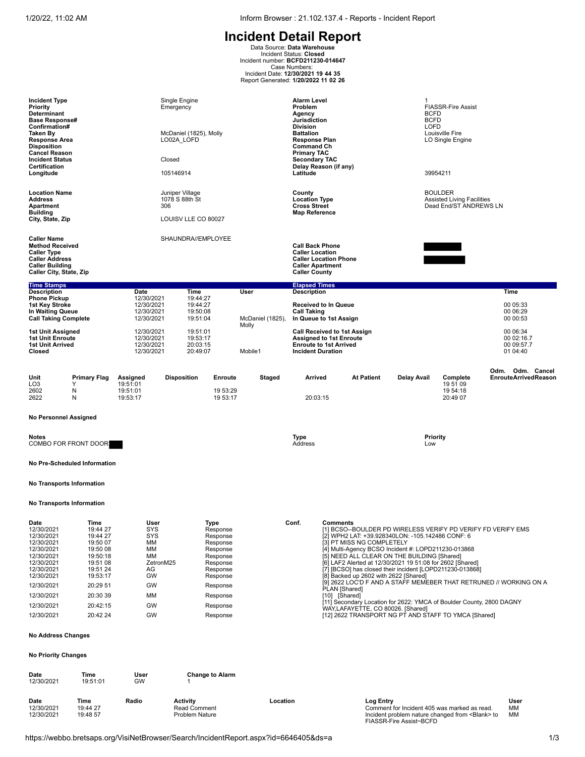**Incident Detail Report**<br>Data Source: Data Warehouse<br>Incident Status: Closed<br>Incident number: BCFD211230-014647<br>Case Numbers:<br>Incident Date: 12/30/2021 19 44 35<br>Report Generated: 1/20/2022 11 02 26

| <b>Incident Type</b><br><b>Priority</b><br>Determinant<br><b>Base Response#</b><br>Confirmation#<br>Taken By<br><b>Response Area</b><br><b>Disposition</b><br><b>Cancel Reason</b><br><b>Incident Status</b><br>Certification<br>Longitude |                                                                                                                                                      |                                                                                       | Single Engine<br>Emergency<br>McDaniel (1825), Molly<br>LO02A_LOFD<br>Closed<br>105146914                                                            |                  | <b>Alarm Level</b><br>Problem<br>Agency<br>Jurisdiction<br><b>Division</b><br><b>Battalion</b><br><b>Response Plan</b><br><b>Command Ch</b><br><b>Primary TAC</b><br><b>Secondary TAC</b><br>Delay Reason (if any)<br>Latitude |                                                                                                                                           | -1<br><b>BCFD</b><br><b>BCFD</b><br><b>LOFD</b>                                                                                                                                                                                                                                                                                                                                                                                                                                 | <b>FIASSR-Fire Assist</b><br>Louisville Fire<br>LO Single Engine<br>39954211  |                                                                    |
|--------------------------------------------------------------------------------------------------------------------------------------------------------------------------------------------------------------------------------------------|------------------------------------------------------------------------------------------------------------------------------------------------------|---------------------------------------------------------------------------------------|------------------------------------------------------------------------------------------------------------------------------------------------------|------------------|--------------------------------------------------------------------------------------------------------------------------------------------------------------------------------------------------------------------------------|-------------------------------------------------------------------------------------------------------------------------------------------|---------------------------------------------------------------------------------------------------------------------------------------------------------------------------------------------------------------------------------------------------------------------------------------------------------------------------------------------------------------------------------------------------------------------------------------------------------------------------------|-------------------------------------------------------------------------------|--------------------------------------------------------------------|
| <b>Location Name</b><br><b>Address</b><br><b>Apartment</b><br><b>Building</b><br>City, State, Zip                                                                                                                                          |                                                                                                                                                      | 306                                                                                   | Juniper Village<br>1078 S 88th St<br>LOUISV LLE CO 80027                                                                                             |                  | County<br><b>Location Type</b><br><b>Cross Street</b><br><b>Map Reference</b>                                                                                                                                                  |                                                                                                                                           |                                                                                                                                                                                                                                                                                                                                                                                                                                                                                 | <b>BOULDER</b><br><b>Assisted Living Facilities</b><br>Dead End/ST ANDREWS LN |                                                                    |
| <b>Caller Name</b><br><b>Method Received</b><br><b>Caller Type</b><br><b>Caller Address</b><br><b>Caller Building</b><br>Caller City, State, Zip                                                                                           |                                                                                                                                                      |                                                                                       | SHAUNDRA//EMPLOYEE                                                                                                                                   |                  | <b>Call Back Phone</b><br><b>Caller Location</b><br><b>Caller Location Phone</b><br><b>Caller Apartment</b><br><b>Caller County</b>                                                                                            |                                                                                                                                           |                                                                                                                                                                                                                                                                                                                                                                                                                                                                                 |                                                                               |                                                                    |
| <b>Time Stamps</b><br><b>Description</b>                                                                                                                                                                                                   |                                                                                                                                                      | Date                                                                                  | Time                                                                                                                                                 | User             | <b>Elapsed Times</b><br>Description                                                                                                                                                                                            |                                                                                                                                           |                                                                                                                                                                                                                                                                                                                                                                                                                                                                                 |                                                                               | Time                                                               |
| <b>Phone Pickup</b><br>1st Key Stroke<br>In Waiting Queue<br><b>Call Taking Complete</b>                                                                                                                                                   |                                                                                                                                                      | 12/30/2021<br>12/30/2021<br>12/30/2021<br>12/30/2021                                  | 19:44:27<br>19:44:27<br>19:50:08<br>19:51:04                                                                                                         | McDaniel (1825), | <b>Received to In Queue</b><br>Call Taking<br>In Queue to 1st Assign                                                                                                                                                           |                                                                                                                                           |                                                                                                                                                                                                                                                                                                                                                                                                                                                                                 |                                                                               | 00 05:33<br>00 06:29<br>00 00:53                                   |
| 1st Unit Assigned<br><b>1st Unit Enroute</b><br>1st Unit Arrived<br>Closed                                                                                                                                                                 |                                                                                                                                                      | 12/30/2021<br>12/30/2021<br>12/30/2021<br>12/30/2021                                  | 19:51:01<br>19:53:17<br>20:03:15<br>20:49:07                                                                                                         | Molly<br>Mobile1 | <b>Call Received to 1st Assign</b><br><b>Assigned to 1st Enroute</b><br><b>Enroute to 1st Arrived</b><br><b>Incident Duration</b>                                                                                              |                                                                                                                                           |                                                                                                                                                                                                                                                                                                                                                                                                                                                                                 |                                                                               | 00 06:34<br>00 02:16.7<br>00 09:57.7<br>01 04:40                   |
| Unit<br>LO <sub>3</sub><br>2602<br>2622                                                                                                                                                                                                    | <b>Primary Flag</b><br>Υ<br>N<br>N                                                                                                                   | Assigned<br>19:51:01<br>19:51:01<br>19:53:17                                          | <b>Disposition</b><br>Enroute<br>19 53:29<br>19 53:17                                                                                                | Staged           | Arrived<br>20:03:15                                                                                                                                                                                                            | <b>At Patient</b>                                                                                                                         | <b>Delay Avail</b>                                                                                                                                                                                                                                                                                                                                                                                                                                                              | Complete<br>19 51 09<br>19 54:18<br>20:49 07                                  | Odm. Odm. Cancel<br><b>EnrouteArrivedReason</b>                    |
| <b>No Personnel Assigned</b>                                                                                                                                                                                                               |                                                                                                                                                      |                                                                                       |                                                                                                                                                      |                  |                                                                                                                                                                                                                                |                                                                                                                                           |                                                                                                                                                                                                                                                                                                                                                                                                                                                                                 |                                                                               |                                                                    |
| Notes<br>COMBO FOR FRONT DOOR                                                                                                                                                                                                              |                                                                                                                                                      |                                                                                       |                                                                                                                                                      |                  | Type<br>Address                                                                                                                                                                                                                |                                                                                                                                           | <b>Priority</b><br>Low                                                                                                                                                                                                                                                                                                                                                                                                                                                          |                                                                               |                                                                    |
| No Pre-Scheduled Information                                                                                                                                                                                                               |                                                                                                                                                      |                                                                                       |                                                                                                                                                      |                  |                                                                                                                                                                                                                                |                                                                                                                                           |                                                                                                                                                                                                                                                                                                                                                                                                                                                                                 |                                                                               |                                                                    |
| No Transports Information                                                                                                                                                                                                                  |                                                                                                                                                      |                                                                                       |                                                                                                                                                      |                  |                                                                                                                                                                                                                                |                                                                                                                                           |                                                                                                                                                                                                                                                                                                                                                                                                                                                                                 |                                                                               |                                                                    |
| No Transports Information                                                                                                                                                                                                                  |                                                                                                                                                      |                                                                                       |                                                                                                                                                      |                  |                                                                                                                                                                                                                                |                                                                                                                                           |                                                                                                                                                                                                                                                                                                                                                                                                                                                                                 |                                                                               |                                                                    |
| Date<br>12/30/2021<br>12/30/2021<br>12/30/2021<br>12/30/2021<br>12/30/2021<br>12/30/2021<br>12/30/2021<br>12/30/2021<br>12/30/2021<br>12/30/2021<br>12/30/2021<br>12/30/2021                                                               | Time<br>19:44 27<br>19:44 27<br>19:50 07<br>19:50 08<br>19:50:18<br>19:51 08<br>19:51 24<br>19:53:17<br>20:29 51<br>20:30 39<br>20:42:15<br>20:42 24 | User<br>SYS<br>SYS<br>ΜМ<br>MM<br>ΜМ<br>ZetronM25<br>AG<br>GW<br>GW<br>мм<br>GW<br>GW | Type<br>Response<br>Response<br>Response<br>Response<br>Response<br>Response<br>Response<br>Response<br>Response<br>Response<br>Response<br>Response |                  | Conf.<br><b>Comments</b>                                                                                                                                                                                                       | [3] PT MISS NG COMPLETELY<br>[8] Backed up 2602 with 2622 [Shared]<br>PLAN [Shared]<br>[10] [Shared]<br>WAY,LAFAYETTE, CO 80026. [Shared] | [1] BCSO--BOULDER PD WIRELESS VERIFY PD VERIFY FD VERIFY EMS<br>[2] WPH2 LAT: +39.928340LON: -105.142486 CONF: 6<br>[4] Multi-Agency BCSO Incident #: LOPD211230-013868<br>[5] NEED ALL CLEAR ON THE BUILDING [Shared]<br>[6] LAF2 Alerted at 12/30/2021 19 51:08 for 2602 [Shared]<br>[7] [BCSO] has closed their incident [LOPD211230-013868]<br>[11] Secondary Location for 2622: YMCA of Boulder County, 2800 DAGNY<br>[12] 2622 TRANSPORT NG PT AND STAFF TO YMCA [Shared] |                                                                               | [9] 2622 LOC'D F AND A STAFF MEMEBER THAT RETRUNED // WORKING ON A |
| <b>No Address Changes</b>                                                                                                                                                                                                                  |                                                                                                                                                      |                                                                                       |                                                                                                                                                      |                  |                                                                                                                                                                                                                                |                                                                                                                                           |                                                                                                                                                                                                                                                                                                                                                                                                                                                                                 |                                                                               |                                                                    |
| <b>No Priority Changes</b>                                                                                                                                                                                                                 |                                                                                                                                                      |                                                                                       |                                                                                                                                                      |                  |                                                                                                                                                                                                                                |                                                                                                                                           |                                                                                                                                                                                                                                                                                                                                                                                                                                                                                 |                                                                               |                                                                    |
| Date<br>12/30/2021                                                                                                                                                                                                                         | Time<br>19:51:01                                                                                                                                     | User<br>GW                                                                            | <b>Change to Alarm</b>                                                                                                                               |                  |                                                                                                                                                                                                                                |                                                                                                                                           |                                                                                                                                                                                                                                                                                                                                                                                                                                                                                 |                                                                               |                                                                    |
| Date<br>12/30/2021<br>12/30/2021                                                                                                                                                                                                           | Time<br>19:44 27<br>19:48 57                                                                                                                         | Radio                                                                                 | <b>Activity</b><br><b>Read Comment</b><br><b>Problem Nature</b>                                                                                      | Location         |                                                                                                                                                                                                                                | Log Entry                                                                                                                                 | Comment for Incident 405 was marked as read.<br>Incident problem nature changed from <blank> to<br/>FIASSR-Fire Assist~BCFD</blank>                                                                                                                                                                                                                                                                                                                                             |                                                                               | User<br>МM<br><b>MM</b>                                            |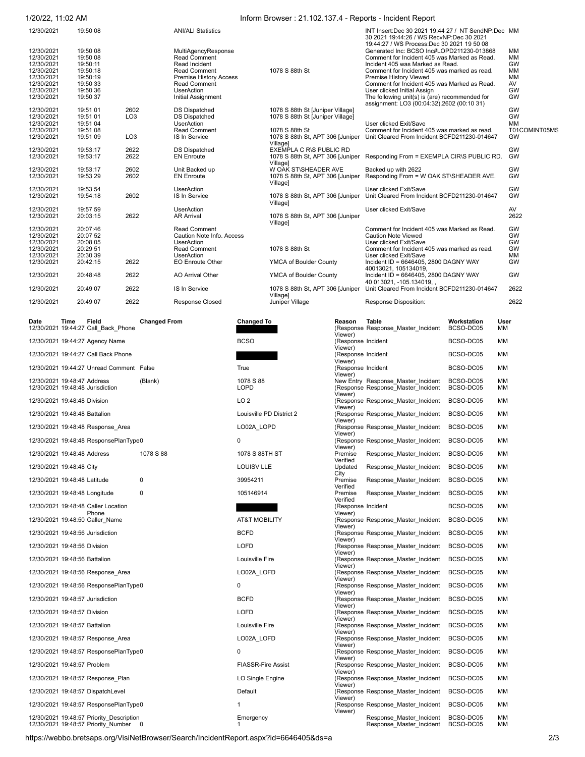### 1/20/22, 11:02 AM Inform Browser : 21.102.137.4 - Reports - Incident Report

| 12/30/2021               | 19:50 08             |                 | <b>ANI/ALI Statistics</b>                  |                                              | INT Insert:Dec 30 2021 19:44 27 / NT SendNP:Dec MM<br>30 2021 19:44:26 / WS RecvNP:Dec 30 2021<br>19:44:27 / WS Process: Dec 30 2021 19 50 08 |                 |
|--------------------------|----------------------|-----------------|--------------------------------------------|----------------------------------------------|-----------------------------------------------------------------------------------------------------------------------------------------------|-----------------|
| 12/30/2021<br>12/30/2021 | 19:50 08<br>19:50 08 |                 | MultiAgencyResponse<br><b>Read Comment</b> |                                              | Generated Inc: BCSO Inc#LOPD211230-013868<br>Comment for Incident 405 was Marked as Read.                                                     | МM<br><b>MM</b> |
| 12/30/2021               | 19:50:11             |                 | Read Incident                              |                                              | Incident 405 was Marked as Read.                                                                                                              | GW              |
| 12/30/2021               | 19:50:18             |                 | <b>Read Comment</b>                        | 1078 S 88th St                               | Comment for Incident 405 was marked as read.                                                                                                  | <b>MM</b>       |
| 12/30/2021               | 19:50:19             |                 | <b>Premise History Access</b>              |                                              | Premise History Viewed                                                                                                                        | <b>MM</b>       |
| 12/30/2021               | 19:50 33             |                 | <b>Read Comment</b>                        |                                              | Comment for Incident 405 was Marked as Read.                                                                                                  | AV              |
| 12/30/2021               | 19:50 36             |                 | <b>UserAction</b>                          |                                              | User clicked Initial Assign                                                                                                                   | GW              |
| 12/30/2021               | 19:50 37             |                 | Initial Assignment                         |                                              | The following unit(s) is (are) recommended for<br>assignment: LO3 (00:04:32), 2602 (00:10 31)                                                 | GW              |
| 12/30/2021               | 19:51 01             | 2602            | <b>DS Dispatched</b>                       | 1078 S 88th St [Juniper Village]             |                                                                                                                                               | GW              |
| 12/30/2021               | 19:51 01             | LO <sub>3</sub> | <b>DS Dispatched</b>                       | 1078 S 88th St [Juniper Village]             |                                                                                                                                               | GW              |
| 12/30/2021               | 19:51 04             |                 | <b>UserAction</b>                          |                                              | User clicked Exit/Save                                                                                                                        | <b>MM</b>       |
| 12/30/2021               | 19:51 08             |                 | <b>Read Comment</b>                        | 1078 S 88th St                               | Comment for Incident 405 was marked as read.                                                                                                  | T01COMINT05MS   |
| 12/30/2021               | 19:51 09             | LO <sub>3</sub> | IS In Service                              | 1078 S 88th St, APT 306 [Juniper<br>Village] | Unit Cleared From Incident BCFD211230-014647                                                                                                  | GW              |
| 12/30/2021               | 19:53:17             | 2622            | <b>DS Dispatched</b>                       | EXEMPLA C R\S PUBLIC RD                      |                                                                                                                                               | GW              |
| 12/30/2021               | 19:53:17             | 2622            | <b>EN Enroute</b>                          | 1078 S 88th St, APT 306 [Juniper<br>Villagel | Responding From = EXEMPLA CIR\S PUBLIC RD.                                                                                                    | GW              |
| 12/30/2021               | 19:53:17             | 2602            | Unit Backed up                             | W OAK ST\SHEADER AVE                         | Backed up with 2622                                                                                                                           | GW              |
| 12/30/2021               | 19:53 29             | 2602            | <b>EN Enroute</b>                          | 1078 S 88th St, APT 306 [Juniper<br>Village] | Responding From = W OAK ST\SHEADER AVE.                                                                                                       | GW              |
| 12/30/2021               | 19:53 54             |                 | <b>UserAction</b>                          |                                              | User clicked Exit/Save                                                                                                                        | GW              |
| 12/30/2021               | 19:54:18             | 2602            | IS In Service                              | 1078 S 88th St, APT 306 [Juniper<br>Village] | Unit Cleared From Incident BCFD211230-014647                                                                                                  | GW              |
| 12/30/2021               | 19:57 59             |                 | <b>UserAction</b>                          |                                              | User clicked Exit/Save                                                                                                                        | AV              |
| 12/30/2021               | 20:03:15             | 2622            | <b>AR Arrival</b>                          | 1078 S 88th St, APT 306 [Juniper<br>Village] |                                                                                                                                               | 2622            |
| 12/30/2021               | 20:07:46             |                 | <b>Read Comment</b>                        |                                              | Comment for Incident 405 was Marked as Read.                                                                                                  | GW              |
| 12/30/2021               | 20:07 52             |                 | Caution Note Info. Access                  |                                              | <b>Caution Note Viewed</b>                                                                                                                    | GW              |
| 12/30/2021               | 20:08 05             |                 | <b>UserAction</b>                          |                                              | User clicked Exit/Save                                                                                                                        | GW              |
| 12/30/2021               | 20:29 51             |                 | <b>Read Comment</b>                        | 1078 S 88th St                               | Comment for Incident 405 was marked as read.                                                                                                  | GW              |
| 12/30/2021               | 20:30 39             |                 | <b>UserAction</b>                          |                                              | User clicked Exit/Save                                                                                                                        | <b>MM</b>       |
| 12/30/2021               | 20:42:15             | 2622            | <b>EO Enroute Other</b>                    | YMCA of Boulder County                       | Incident ID = 6646405, 2800 DAGNY WAY<br>40013021, 105134019,                                                                                 | GW              |
| 12/30/2021               | 20:48:48             | 2622            | <b>AO Arrival Other</b>                    | YMCA of Boulder County                       | Incident ID = 6646405, 2800 DAGNY WAY<br>40 013021, -105.134019,                                                                              | GW              |
| 12/30/2021               | 20:49 07             | 2622            | IS In Service                              | 1078 S 88th St, APT 306 [Juniper<br>Village] | Unit Cleared From Incident BCFD211230-014647                                                                                                  | 2622            |
| 12/30/2021               | 20:49 07             | 2622            | <b>Response Closed</b>                     | Juniper Village                              | Response Disposition:                                                                                                                         | 2622            |

| υαισ<br>,,,,,,<br><b>Field</b><br>12/30/2021 19:44:27 Call Back Phone             | Changed From | Unanyeu lu                | neasun<br>laule<br>(Response Response Master Incident<br>Viewer) | <u>WULNSLALIUIL</u><br>BCSO-DC05 | usu<br>ΜМ |
|-----------------------------------------------------------------------------------|--------------|---------------------------|------------------------------------------------------------------|----------------------------------|-----------|
| 12/30/2021 19:44:27 Agency Name                                                   |              | <b>BCSO</b>               | (Response Incident<br>Viewer)                                    | BCSO-DC05                        | ΜМ        |
| 12/30/2021 19:44:27 Call Back Phone                                               |              |                           | (Response Incident                                               | BCSO-DC05                        | ΜМ        |
| 12/30/2021 19:44:27 Unread Comment False                                          |              | True                      | Viewer)<br>(Response Incident                                    | BCSO-DC05                        | ΜМ        |
| 12/30/2021 19:48:47 Address                                                       | (Blank)      | 1078 S 88                 | Viewer)<br>New Entry Response Master Incident                    | BCSO-DC05                        | MM        |
| 12/30/2021 19:48:48 Jurisdiction                                                  |              | <b>LOPD</b>               | (Response Response Master Incident<br>Viewer)                    | BCSO-DC05                        | MM        |
| 12/30/2021 19:48:48 Division                                                      |              | LO <sub>2</sub>           | (Response Response Master Incident<br>Viewer)                    | BCSO-DC05                        | ΜМ        |
| 12/30/2021 19:48:48 Battalion                                                     |              | Louisville PD District 2  | (Response Response Master Incident<br>Viewer)                    | BCSO-DC05                        | ΜМ        |
| 12/30/2021 19:48:48 Response Area                                                 |              | LO02A LOPD                | (Response Response Master Incident<br>Viewer)                    | BCSO-DC05                        | ΜМ        |
| 12/30/2021 19:48:48 ResponsePlanType0                                             |              | 0                         | (Response Response_Master_Incident<br>Viewer)                    | BCSO-DC05                        | ΜМ        |
| 12/30/2021 19:48:48 Address                                                       | 1078 S 88    | 1078 S 88TH ST            | Premise<br>Response_Master_Incident<br>Verified                  | BCSO-DC05                        | MM        |
| 12/30/2021 19:48:48 City                                                          |              | <b>LOUISV LLE</b>         | Updated<br>Response Master Incident<br>City                      | BCSO-DC05                        | MM        |
| 12/30/2021 19:48:48 Latitude                                                      | $\mathbf 0$  | 39954211                  | Premise<br>Response Master Incident<br>Verified                  | BCSO-DC05                        | MM        |
| 12/30/2021 19:48:48 Longitude                                                     | $\mathbf 0$  | 105146914                 | Premise<br>Response Master Incident<br>Verified                  | BCSO-DC05                        | MM        |
| 12/30/2021 19:48:48 Caller Location<br>Phone                                      |              |                           | (Response Incident<br>Viewer)                                    | BCSO-DC05                        | ΜМ        |
| 12/30/2021 19:48:50 Caller_Name                                                   |              | <b>AT&amp;T MOBILITY</b>  | (Response Response Master Incident<br>Viewer)                    | BCSO-DC05                        | ΜМ        |
| 12/30/2021 19:48:56 Jurisdiction                                                  |              | <b>BCFD</b>               | (Response Response Master Incident<br>Viewer)                    | BCSO-DC05                        | ΜМ        |
| 12/30/2021 19:48:56 Division                                                      |              | LOFD                      | (Response Response Master Incident<br>Viewer)                    | BCSO-DC05                        | MM        |
| 12/30/2021 19:48:56 Battalion                                                     |              | Louisville Fire           | (Response Response_Master_Incident<br>Viewer)                    | BCSO-DC05                        | MM        |
| 12/30/2021 19:48:56 Response Area                                                 |              | LO02A LOFD                | (Response Response_Master_Incident<br>Viewer)                    | BCSO-DC05                        | ΜМ        |
| 12/30/2021 19:48:56 ResponsePlanType0                                             |              | 0                         | (Response Response_Master_Incident<br>Viewer)                    | BCSO-DC05                        | MM        |
| 12/30/2021 19:48:57 Jurisdiction                                                  |              | <b>BCFD</b>               | (Response Response_Master_Incident<br>Viewer)                    | BCSO-DC05                        | MM        |
| 12/30/2021 19:48:57 Division                                                      |              | LOFD                      | (Response Response_Master_Incident<br>Viewer)                    | BCSO-DC05                        | ΜМ        |
| 12/30/2021 19:48:57 Battalion                                                     |              | Louisville Fire           | (Response Response Master Incident<br>Viewer)                    | BCSO-DC05                        | МM        |
| 12/30/2021 19:48:57 Response Area                                                 |              | LO02A LOFD                | (Response Response_Master_Incident<br>Viewer)                    | BCSO-DC05                        | MM        |
| 12/30/2021 19:48:57 ResponsePlanType0                                             |              | 0                         | (Response Response Master Incident<br>Viewer)                    | BCSO-DC05                        | MM        |
| 12/30/2021 19:48:57 Problem                                                       |              | <b>FIASSR-Fire Assist</b> | (Response Response_Master_Incident<br>Viewer)                    | BCSO-DC05                        | MM        |
| 12/30/2021 19:48:57 Response Plan                                                 |              | LO Single Engine          | (Response Response_Master_Incident<br>Viewer)                    | BCSO-DC05                        | ΜМ        |
| 12/30/2021 19:48:57 DispatchLevel                                                 |              | Default                   | (Response Response_Master_Incident<br>Viewer)                    | BCSO-DC05                        | ΜМ        |
| 12/30/2021 19:48:57 ResponsePlanType0                                             |              | $\mathbf{1}$              | (Response Response Master Incident<br>Viewer)                    | BCSO-DC05                        | ΜМ        |
| 12/30/2021 19:48:57 Priority Description<br>12/30/2021 19:48:57 Priority Number 0 |              | Emergency<br>1            | Response Master Incident<br>Response Master Incident             | BCSO-DC05<br>BCSO-DC05           | ΜМ<br>MM  |

| Date                          | Time | Field<br>12/30/2021 19:44:27 Call Back Phone | <b>Changed From</b> | Changed To                | Reason<br>Viewer)                        | Table<br>(Response Response_Master_Incident                              | Workstation<br>BCSO-DC05 | User<br>ΜМ |
|-------------------------------|------|----------------------------------------------|---------------------|---------------------------|------------------------------------------|--------------------------------------------------------------------------|--------------------------|------------|
|                               |      | 12/30/2021 19:44:27 Agency Name              |                     | <b>BCSO</b>               | (Response Incident                       |                                                                          | BCSO-DC05                | МM         |
|                               |      | 12/30/2021 19:44:27 Call Back Phone          |                     |                           | Viewer)<br>(Response Incident            |                                                                          | BCSO-DC05                | MМ         |
|                               |      | 12/30/2021 19:44:27 Unread Comment False     |                     | True                      | Viewer)<br>(Response Incident<br>Viewer) |                                                                          | BCSO-DC05                | MM         |
| 12/30/2021 19:48:47 Address   |      | 12/30/2021 19:48:48 Jurisdiction             | (Blank)             | 1078 S 88<br><b>LOPD</b>  |                                          | New Entry Response_Master_Incident<br>(Response Response Master Incident | BCSO-DC05<br>BCSO-DC05   | MM<br>МM   |
| 12/30/2021 19:48:48 Division  |      |                                              |                     | LO <sub>2</sub>           | Viewer)                                  | (Response Response Master Incident                                       | BCSO-DC05                | MМ         |
| 12/30/2021 19:48:48 Battalion |      |                                              |                     | Louisville PD District 2  | Viewer)                                  | (Response Response_Master_Incident                                       | BCSO-DC05                | МM         |
|                               |      | 12/30/2021 19:48:48 Response Area            |                     | LO02A LOPD                | Viewer)<br>Viewer)                       | (Response Response_Master_Incident                                       | BCSO-DC05                | мм         |
|                               |      | 12/30/2021 19:48:48 ResponsePlanType0        |                     | 0                         | Viewer)                                  | (Response Response_Master_Incident                                       | BCSO-DC05                | MМ         |
| 12/30/2021 19:48:48 Address   |      |                                              | 1078 S 88           | 1078 S 88TH ST            | Premise<br>Verified                      | Response Master Incident                                                 | BCSO-DC05                | MМ         |
| 12/30/2021 19:48:48 City      |      |                                              |                     | <b>LOUISV LLE</b>         | Updated<br>City                          | Response Master Incident                                                 | BCSO-DC05                | MМ         |
| 12/30/2021 19:48:48 Latitude  |      |                                              | $\Omega$            | 39954211                  | Premise<br>Verified                      | Response Master Incident                                                 | BCSO-DC05                | MМ         |
| 12/30/2021 19:48:48 Longitude |      |                                              | $\mathbf 0$         | 105146914                 | Premise<br>Verified                      | Response Master Incident                                                 | BCSO-DC05                | MМ         |
|                               |      | 12/30/2021 19:48:48 Caller Location          |                     |                           | (Response Incident                       |                                                                          | BCSO-DC05                | МM         |
|                               |      | Phone<br>12/30/2021 19:48:50 Caller_Name     |                     | <b>AT&amp;T MOBILITY</b>  | Viewer)<br>Viewer)                       | (Response Response Master Incident                                       | BCSO-DC05                | ΜМ         |
|                               |      | 12/30/2021 19:48:56 Jurisdiction             |                     | <b>BCFD</b>               | Viewer)                                  | (Response Response Master Incident                                       | BCSO-DC05                | <b>MM</b>  |
| 12/30/2021 19:48:56 Division  |      |                                              |                     | LOFD                      | Viewer)                                  | (Response Response_Master_Incident                                       | BCSO-DC05                | МM         |
| 12/30/2021 19:48:56 Battalion |      |                                              |                     | Louisville Fire           |                                          | (Response Response Master Incident                                       | BCSO-DC05                | мм         |
|                               |      | 12/30/2021 19:48:56 Response Area            |                     | LO02A LOFD                | Viewer)<br>Viewer)                       | (Response Response Master Incident                                       | BCSO-DC05                | мм         |
|                               |      | 12/30/2021 19:48:56 ResponsePlanType0        |                     | 0                         |                                          | (Response Response_Master_Incident                                       | BCSO-DC05                | мм         |
|                               |      | 12/30/2021 19:48:57 Jurisdiction             |                     | <b>BCFD</b>               | Viewer)<br>Viewer)                       | (Response Response_Master_Incident                                       | BCSO-DC05                | ΜМ         |
| 12/30/2021 19:48:57 Division  |      |                                              |                     | <b>LOFD</b>               |                                          | (Response Response_Master_Incident                                       | BCSO-DC05                | MМ         |
| 12/30/2021 19:48:57 Battalion |      |                                              |                     | Louisville Fire           | Viewer)<br>Viewer)                       | (Response Response_Master_Incident                                       | BCSO-DC05                | MМ         |
|                               |      | 12/30/2021 19:48:57 Response Area            |                     | LO02A LOFD                | Viewer)                                  | (Response Response_Master_Incident                                       | BCSO-DC05                | MМ         |
|                               |      | 12/30/2021 19:48:57 ResponsePlanType0        |                     | 0                         | Viewer)                                  | (Response Response Master Incident                                       | BCSO-DC05                | MМ         |
| 12/30/2021 19:48:57 Problem   |      |                                              |                     | <b>FIASSR-Fire Assist</b> | Viewer)                                  | (Response Response Master Incident                                       | BCSO-DC05                | МM         |
|                               |      | 12/30/2021 19:48:57 Response_Plan            |                     | LO Single Engine          |                                          | (Response Response Master Incident                                       | BCSO-DC05                | ΜМ         |
|                               |      | 12/30/2021 19:48:57 DispatchLevel            |                     | Default                   | Viewer)<br>Viewer)                       | (Response Response_Master_Incident                                       | BCSO-DC05                | мм         |
|                               |      | 12/30/2021 19:48:57 ResponsePlanType0        |                     | 1                         |                                          | (Response Response Master Incident                                       | BCSO-DC05                | мм         |
| 10000000110177777777777       |      |                                              |                     |                           | Viewer)                                  | .                                                                        | DOOO DOOF                |            |

https://webbo.bretsaps.org/VisiNetBrowser/Search/IncidentReport.aspx?id=6646405&ds=a 2/3